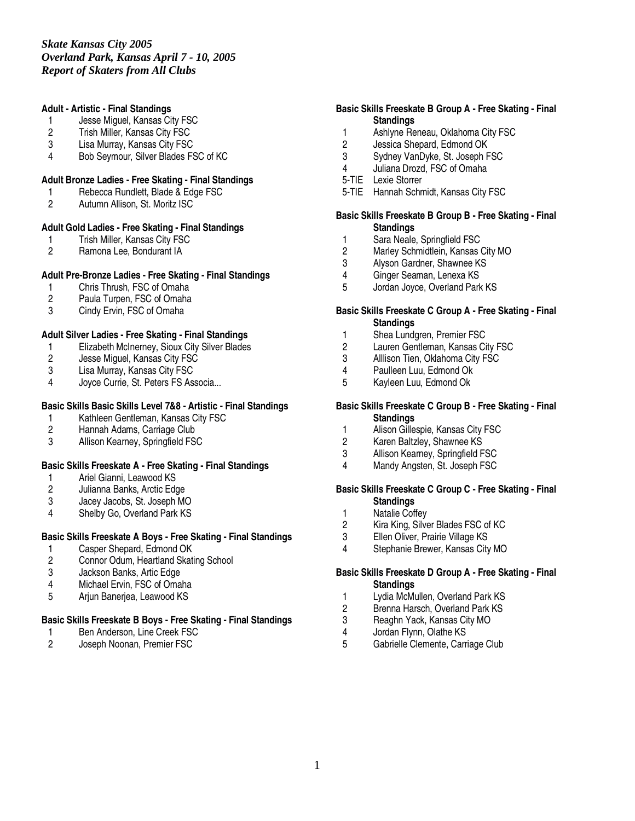## **Adult - Artistic - Final Standings**

- 1 Jesse Miguel, Kansas City FSC
- 2 Trish Miller, Kansas City FSC<br>3 Lisa Murrav. Kansas City FSC
- Lisa Murray, Kansas City FSC
- 4 Bob Seymour, Silver Blades FSC of KC

## **Adult Bronze Ladies - Free Skating - Final Standings**

- 1 Rebecca Rundlett, Blade & Edge FSC
- 2 Autumn Allison, St. Moritz ISC

## **Adult Gold Ladies - Free Skating - Final Standings**

- 1 Trish Miller, Kansas City FSC<br>2 Ramona Lee, Bondurant IA
- 2 Ramona Lee, Bondurant IA

# **Adult Pre-Bronze Ladies - Free Skating - Final Standings**

- 1 Chris Thrush, FSC of Omaha<br>2 Paula Turpen, FSC of Omaha
- Paula Turpen, FSC of Omaha
- 3 Cindy Ervin, FSC of Omaha

# **Adult Silver Ladies - Free Skating - Final Standings**

- 1 Elizabeth McInerney, Sioux City Silver Blades
- 2 Jesse Miguel, Kansas City FSC<br>3 Lisa Murray, Kansas City FSC
- 3 Lisa Murray, Kansas City FSC<br>4 Jovce Currie. St. Peters FS Ass
- Joyce Currie, St. Peters FS Associa...

# **Basic Skills Basic Skills Level 7&8 - Artistic - Final Standings**

- 1 Kathleen Gentleman, Kansas City FSC<br>2 Hannah Adams. Carriage Club
- Hannah Adams, Carriage Club
- 3 Allison Kearney, Springfield FSC

## **Basic Skills Freeskate A - Free Skating - Final Standings**

- 1 Ariel Gianni, Leawood KS
- 2 Julianna Banks, Arctic Edge<br>3 Jacev Jacobs, St. Joseph MC
- 3 Jacey Jacobs, St. Joseph MO<br>4 Shelby Go, Overland Park KS
- Shelby Go, Overland Park KS

## **Basic Skills Freeskate A Boys - Free Skating - Final Standings**

- 1 Casper Shepard, Edmond OK<br>2 Connor Odum. Heartland Skati
- 2 Connor Odum, Heartland Skating School
- 3 Jackson Banks, Artic Edge
- 4 Michael Ervin, FSC of Omaha
- 5 Arjun Banerjea, Leawood KS

## **Basic Skills Freeskate B Boys - Free Skating - Final Standings**

- 1 Ben Anderson, Line Creek FSC<br>2 Joseph Noonan, Premier FSC
- Joseph Noonan, Premier FSC

## **Basic Skills Freeskate B Group A - Free Skating - Final Standings**

- 1 Ashlyne Reneau, Oklahoma City FSC<br>2 Jessica Shepard. Edmond OK
- Jessica Shepard, Edmond OK
- 3 Sydney VanDyke, St. Joseph FSC
- 4 Juliana Drozd, FSC of Omaha
- 5-TIE Lexie Storrer
- 5-TIE Hannah Schmidt, Kansas City FSC

#### **Basic Skills Freeskate B Group B - Free Skating - Final Standings**

- 1 Sara Neale, Springfield FSC<br>2 Marley Schmidtlein, Kansas (
- 2 Marley Schmidtlein, Kansas City MO<br>3 Alvson Gardner, Shawnee KS
- Alyson Gardner, Shawnee KS
- 4 Ginger Seaman, Lenexa KS
- 5 Jordan Joyce, Overland Park KS

#### **Basic Skills Freeskate C Group A - Free Skating - Final Standings**

- 1 Shea Lundgren, Premier FSC
- 2 Lauren Gentleman, Kansas City FSC
- 3 Alllison Tien, Oklahoma City FSC<br>4 Paulleen Luu, Edmond Ok
- 4 Paulleen Luu, Edmond Ok<br>5 Kavleen Luu, Edmond Ok
- 5 Kayleen Luu, Edmond Ok

#### **Basic Skills Freeskate C Group B - Free Skating - Final Standings**

- 1 Alison Gillespie, Kansas City FSC
- 2 Karen Baltzley, Shawnee KS
- 3 Allison Kearney, Springfield FSC
- 4 Mandy Angsten, St. Joseph FSC

#### **Basic Skills Freeskate C Group C - Free Skating - Final Standings**

- 1 Natalie Coffey<br>2 Kira King, Silve
- 2 Kira King, Silver Blades FSC of KC<br>3 Ellen Oliver, Prairie Village KS
- Ellen Oliver, Prairie Village KS
- 4 Stephanie Brewer, Kansas City MO

## **Basic Skills Freeskate D Group A - Free Skating - Final Standings**

- 1 Lydia McMullen, Overland Park KS
- 2 Brenna Harsch, Overland Park KS
- 3 Reaghn Yack, Kansas City MO
- 4 Jordan Flynn, Olathe KS<br>5 Gabrielle Clemente, Carri
- 5 Gabrielle Clemente, Carriage Club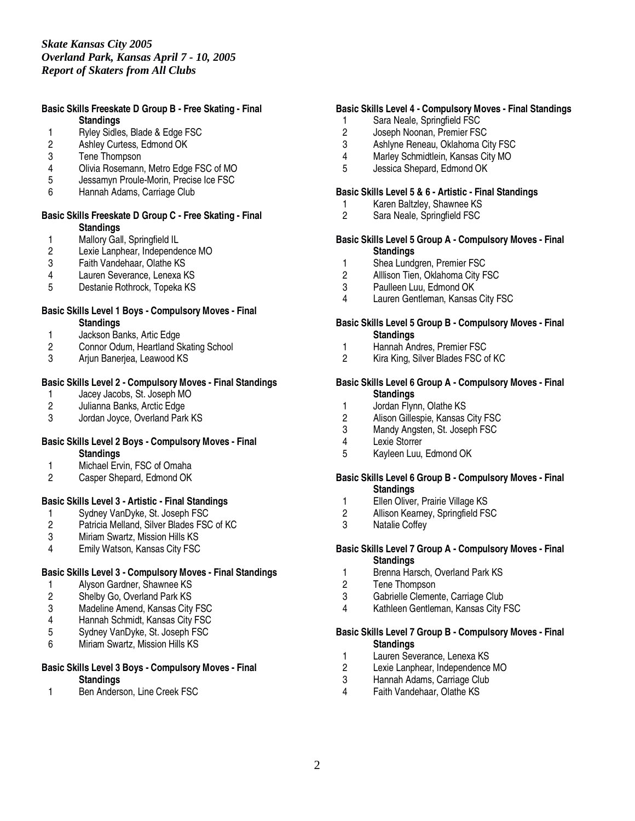#### **Basic Skills Freeskate D Group B - Free Skating - Final Standings**

- 1 Ryley Sidles, Blade & Edge FSC<br>2 Ashley Curtess. Edmond OK
- 2 Ashley Curtess, Edmond OK<br>3 Tene Thompson
- Tene Thompson
- 4 Olivia Rosemann, Metro Edge FSC of MO
- 5 Jessamyn Proule-Morin, Precise Ice FSC
- 6 Hannah Adams, Carriage Club

#### **Basic Skills Freeskate D Group C - Free Skating - Final Standings**

- 
- 1 Mallory Gall, Springfield IL<br>2 Lexie Lanphear, Independe 2 Lexie Lanphear, Independence MO<br>3 Faith Vandehaar, Olathe KS
- 
- 3 Faith Vandehaar, Olathe KS Lauren Severance, Lenexa KS
- 5 Destanie Rothrock, Topeka KS

#### **Basic Skills Level 1 Boys - Compulsory Moves - Final Standings**

- 1 Jackson Banks, Artic Edge<br>2 Connor Odum, Heartland S
- 2 Connor Odum, Heartland Skating School
- 3 Arjun Banerjea, Leawood KS

# **Basic Skills Level 2 - Compulsory Moves - Final Standings**

- 1 Jacey Jacobs, St. Joseph MO<br>2 Julianna Banks. Arctic Edge
- 2 Julianna Banks, Arctic Edge<br>3 Jordan Jovce, Overland Park
- Jordan Joyce, Overland Park KS

#### **Basic Skills Level 2 Boys - Compulsory Moves - Final Standings**

- 1 Michael Ervin, FSC of Omaha
- 2 Casper Shepard, Edmond OK

## **Basic Skills Level 3 - Artistic - Final Standings**

- 1 Sydney VanDyke, St. Joseph FSC<br>2 Patricia Melland, Silver Blades FSC
- 2 Patricia Melland, Silver Blades FSC of KC<br>3 Miriam Swartz, Mission Hills KS
- 3 Miriam Swartz, Mission Hills KS<br>4 Emily Watson. Kansas City FSC
- Emily Watson, Kansas City FSC

# **Basic Skills Level 3 - Compulsory Moves - Final Standings**

- 1 Alyson Gardner, Shawnee KS<br>2 Shelby Go, Overland Park KS
- Shelby Go, Overland Park KS
- 3 Madeline Amend, Kansas City FSC<br>4 Hannah Schmidt. Kansas City FSC
- 4 Hannah Schmidt, Kansas City FSC<br>5 Sydney VanDyke, St. Joseph FSC
- 5 Sydney VanDyke, St. Joseph FSC
- 6 Miriam Swartz, Mission Hills KS

#### **Basic Skills Level 3 Boys - Compulsory Moves - Final Standings**

1 Ben Anderson, Line Creek FSC

## **Basic Skills Level 4 - Compulsory Moves - Final Standings**

- 1 Sara Neale, Springfield FSC
- 2 Joseph Noonan, Premier FSC<br>3 Ashlyne Reneau. Oklahoma Ci
- Ashlyne Reneau, Oklahoma City FSC
- 4 Marley Schmidtlein, Kansas City MO
- 5 Jessica Shepard, Edmond OK

#### **Basic Skills Level 5 & 6 - Artistic - Final Standings**

- 1 Karen Baltzley, Shawnee KS
- 2 Sara Neale, Springfield FSC

#### **Basic Skills Level 5 Group A - Compulsory Moves - Final Standings**

- 1 Shea Lundgren, Premier FSC<br>2 Alllison Tien. Oklahoma City F
- Alllison Tien, Oklahoma City FSC
- 3 Paulleen Luu, Edmond OK<br>4 Lauren Gentleman, Kansas
- Lauren Gentleman, Kansas City FSC

#### **Basic Skills Level 5 Group B - Compulsory Moves - Final Standings**

- 1 Hannah Andres, Premier FSC<br>2 Kira King, Silver Blades FSC o
- Kira King, Silver Blades FSC of KC

## **Basic Skills Level 6 Group A - Compulsory Moves - Final Standings**

- 1 Jordan Flynn, Olathe KS<br>2 Alison Gillespie, Kansas
- 2 Alison Gillespie, Kansas City FSC<br>3 Mandy Angsten, St. Joseph FSC
- Mandy Angsten, St. Joseph FSC
- 4 Lexie Storrer<br>5 Kavleen Luu
- 5 Kayleen Luu, Edmond OK

#### **Basic Skills Level 6 Group B - Compulsory Moves - Final Standings**

- 
- 1 Ellen Oliver, Prairie Village KS<br>2 Allison Kearney, Springfield FS 2 Allison Kearney, Springfield FSC<br>3 Natalie Coffev
- Natalie Coffey

#### **Basic Skills Level 7 Group A - Compulsory Moves - Final Standings**

- 1 Brenna Harsch, Overland Park KS<br>2 Tene Thompson
- Tene Thompson
- 3 Gabrielle Clemente, Carriage Club
- 4 Kathleen Gentleman, Kansas City FSC

#### **Basic Skills Level 7 Group B - Compulsory Moves - Final Standings**

- 1 Lauren Severance, Lenexa KS
- 2 Lexie Lanphear, Independence MO
- 3 Hannah Adams, Carriage Club<br>4 Faith Vandehaar, Olathe KS
- Faith Vandehaar, Olathe KS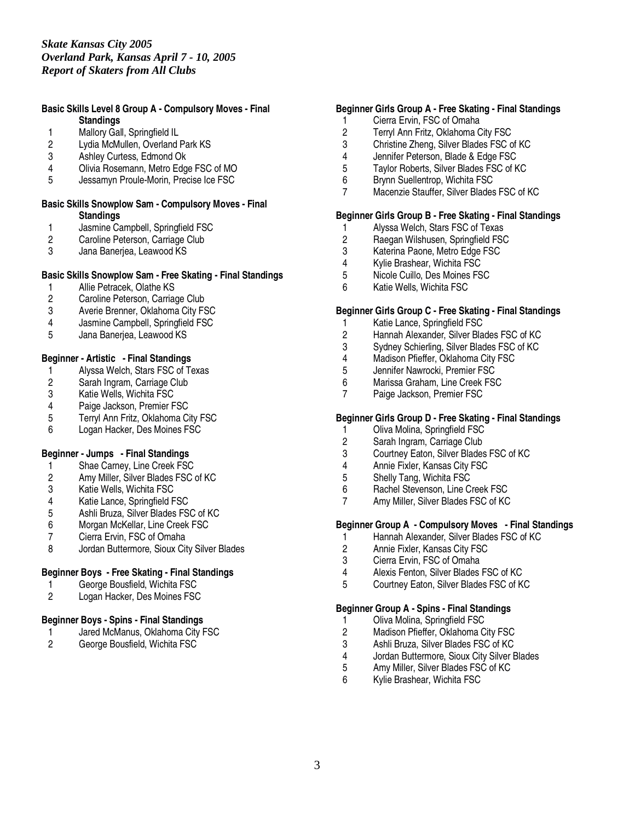#### **Basic Skills Level 8 Group A - Compulsory Moves - Final Standings**

- 
- 1 Mallory Gall, Springfield IL<br>2 Lydia McMullen, Overland I Lydia McMullen, Overland Park KS
- 3 Ashley Curtess, Edmond Ok
- 4 Olivia Rosemann, Metro Edge FSC of MO
- Jessamyn Proule-Morin, Precise Ice FSC

#### **Basic Skills Snowplow Sam - Compulsory Moves - Final Standings**

- 1 Jasmine Campbell, Springfield FSC<br>2 Caroline Peterson, Carriage Club
- 2 Caroline Peterson, Carriage Club<br>3 Jana Baneriea. Leawood KS
- Jana Banerjea, Leawood KS

## **Basic Skills Snowplow Sam - Free Skating - Final Standings**

- 1 Allie Petracek, Olathe KS<br>2 Caroline Peterson, Carriad
- Caroline Peterson, Carriage Club
- 3 Averie Brenner, Oklahoma City FSC
- 4 Jasmine Campbell, Springfield FSC
- 5 Jana Banerjea, Leawood KS

# **Beginner - Artistic - Final Standings**

- 1 Alyssa Welch, Stars FSC of Texas<br>2 Sarah Ingram, Carriage Club
- 2 Sarah Ingram, Carriage Club<br>3 Katie Wells, Wichita FSC
- 3 Katie Wells, Wichita FSC<br>4 Paige Jackson, Premier F
- 
- 4 Paige Jackson, Premier FSC<br>5 Terryl Ann Fritz, Oklahoma Ci 5 Terryl Ann Fritz, Oklahoma City FSC<br>6 Logan Hacker. Des Moines FSC
- Logan Hacker, Des Moines FSC

## **Beginner - Jumps - Final Standings**

- 1 Shae Carney, Line Creek FSC
- 2 Amy Miller, Silver Blades FSC of KC
- 
- 3 Katie Wells, Wichita FSC<br>4 Katie Lance, Springfield F
- 4 Katie Lance, Springfield FSC<br>5 Ashli Bruza, Silver Blades FS
- 5 Ashli Bruza, Silver Blades FSC of KC 6 Morgan McKellar, Line Creek FSC<br>7 Cierra Ervin, FSC of Omaha
- 
- 7 Cierra Ervin, FSC of Omaha<br>8 Jordan Buttermore, Sioux Cit 8 Jordan Buttermore, Sioux City Silver Blades

## **Beginner Boys - Free Skating - Final Standings**

- 1 George Bousfield, Wichita FSC<br>2 Logan Hacker, Des Moines FSC
- Logan Hacker, Des Moines FSC

# **Beginner Boys - Spins - Final Standings**

- 1 Jared McManus, Oklahoma City FSC<br>2 George Bousfield, Wichita FSC
- George Bousfield, Wichita FSC

#### **Beginner Girls Group A - Free Skating - Final Standings**

- 1 Cierra Ervin, FSC of Omaha
- 2 Terryl Ann Fritz, Oklahoma City FSC<br>3 Christine Zheng. Silver Blades FSC c
- 3 Christine Zheng, Silver Blades FSC of KC
- 4 Jennifer Peterson, Blade & Edge FSC<br>5 Taylor Roberts, Silver Blades FSC of K
- 5 Taylor Roberts, Silver Blades FSC of KC<br>6 Brynn Suellentrop, Wichita FSC
- 6 Brynn Suellentrop, Wichita FSC
- 7 Macenzie Stauffer, Silver Blades FSC of KC

## **Beginner Girls Group B - Free Skating - Final Standings**

- 1 Alyssa Welch, Stars FSC of Texas<br>2 Raegan Wilshusen, Springfield FSC
- 2 Raegan Wilshusen, Springfield FSC<br>3 Katerina Paone, Metro Edge FSC
- 3 Katerina Paone, Metro Edge FSC<br>4 Kylie Brashear, Wichita FSC
- 4 Kylie Brashear, Wichita FSC<br>5 Nicole Cuillo. Des Moines FS
- 5 Nicole Cuillo, Des Moines FSC
- 6 Katie Wells, Wichita FSC

#### **Beginner Girls Group C - Free Skating - Final Standings**

- 1 Katie Lance, Springfield FSC
- 2 Hannah Alexander, Silver Blades FSC of KC
- 3 Sydney Schierling, Silver Blades FSC of KC
- 4 Madison Pfieffer, Oklahoma City FSC<br>5 Jennifer Nawrocki, Premier FSC
- 5 Jennifer Nawrocki, Premier FSC<br>6 Marissa Graham, Line Creek FS
- Marissa Graham, Line Creek FSC
- 7 Paige Jackson, Premier FSC

## **Beginner Girls Group D - Free Skating - Final Standings**

- 1 Oliva Molina, Springfield FSC
- 2 Sarah Ingram, Carriage Club<br>3 Courtney Eaton, Silver Blades
- Courtney Eaton, Silver Blades FSC of KC
- 4 Annie Fixler, Kansas City FSC
- 5 Shelly Tang, Wichita FSC
- 6 Rachel Stevenson, Line Creek FSC<br>7 Amy Miller Silver Blades FSC of KC
- Amy Miller, Silver Blades FSC of KC

## **Beginner Group A - Compulsory Moves - Final Standings**

- 1 Hannah Alexander, Silver Blades FSC of KC<br>2 Annie Fixler. Kansas City FSC
- 2 Annie Fixler, Kansas City FSC
- 3 Cierra Ervin, FSC of Omaha
- 4 Alexis Fenton, Silver Blades FSC of KC
- 5 Courtney Eaton, Silver Blades FSC of KC

#### **Beginner Group A - Spins - Final Standings**

- 1 Oliva Molina, Springfield FSC<br>2 Madison Pfieffer, Oklahoma C
- Madison Pfieffer, Oklahoma City FSC
- 
- 3 Ashli Bruza, Silver Blades FSC of KC 4 Jordan Buttermore, Sioux City Silver Blades<br>5 Amy Miller, Silver Blades FSC of KC
- Amy Miller, Silver Blades FSC of KC
- 6 Kylie Brashear, Wichita FSC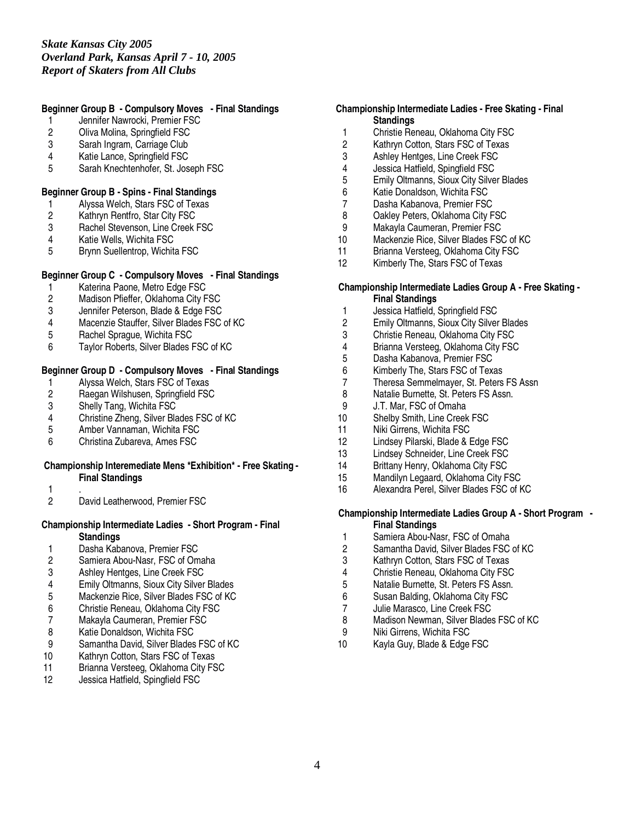## **Beginner Group B - Compulsory Moves - Final Standings**

- 1 Jennifer Nawrocki, Premier FSC
- 2 Oliva Molina, Springfield FSC<br>3 Sarah Ingram, Carriage Club
- Sarah Ingram, Carriage Club
- 4 Katie Lance, Springfield FSC
- 5 Sarah Knechtenhofer, St. Joseph FSC

# **Beginner Group B - Spins - Final Standings**

- 1 Alyssa Welch, Stars FSC of Texas
- 2 Kathryn Rentfro, Star City FSC<br>3 Rachel Stevenson, Line Creek I
- 3 Rachel Stevenson, Line Creek FSC<br>4 Katie Wells, Wichita FSC
- 4 Katie Wells, Wichita FSC
- 5 Brynn Suellentrop, Wichita FSC

## **Beginner Group C - Compulsory Moves - Final Standings**

- 1 Katerina Paone, Metro Edge FSC<br>2 Madison Pfieffer, Oklahoma City F
- 2 Madison Pfieffer, Oklahoma City FSC<br>3 Jennifer Peterson, Blade & Edge FSC
- Jennifer Peterson, Blade & Edge FSC
- 4 Macenzie Stauffer, Silver Blades FSC of KC
- 5 Rachel Sprague, Wichita FSC
- 6 Taylor Roberts, Silver Blades FSC of KC

# **Beginner Group D - Compulsory Moves - Final Standings**

- 1 Alyssa Welch, Stars FSC of Texas<br>2 Raegan Wilshusen, Springfield FSC
- 2 Raegan Wilshusen, Springfield FSC<br>3 Shelly Tang, Wichita FSC
- 3 Shelly Tang, Wichita FSC<br>4 Christine Zheng, Silver Bla
- 4 Christine Zheng, Silver Blades FSC of KC<br>5 Amber Vannaman. Wichita FSC
- 5 Amber Vannaman, Wichita FSC
- 6 Christina Zubareva, Ames FSC

#### **Championship Interemediate Mens \*Exhibition\* - Free Skating - Final Standings**

- 
- $\frac{1}{2}$ David Leatherwood, Premier FSC

## **Championship Intermediate Ladies - Short Program - Final Standings**

- 1 Dasha Kabanova, Premier FSC<br>2 Samiera Abou-Nasr, FSC of Om
- Samiera Abou-Nasr, FSC of Omaha
- 3 Ashley Hentges, Line Creek FSC
- 4 Emily Oltmanns, Sioux City Silver Blades<br>5 Mackenzie Rice. Silver Blades FSC of KC
- 5 Mackenzie Rice, Silver Blades FSC of KC
- 6 Christie Reneau, Oklahoma City FSC
- 7 Makayla Caumeran, Premier FSC<br>8 Katie Donaldson, Wichita FSC
- Katie Donaldson, Wichita FSC
- 9 Samantha David, Silver Blades FSC of KC<br>10 Kathryn Cotton, Stars FSC of Texas
- Kathryn Cotton, Stars FSC of Texas
- 11 Brianna Versteeg, Oklahoma City FSC
- 12 Jessica Hatfield, Spingfield FSC

## **Championship Intermediate Ladies - Free Skating - Final Standings**

- 1 Christie Reneau, Oklahoma City FSC<br>2 Kathrvn Cotton. Stars FSC of Texas
- Kathryn Cotton, Stars FSC of Texas
- 3 Ashley Hentges, Line Creek FSC
- 4 Jessica Hatfield, Spingfield FSC<br>5 Emily Oltmanns, Sioux City Silve
- 5 Emily Oltmanns, Sioux City Silver Blades
- 6 Katie Donaldson, Wichita FSC
- 7 Dasha Kabanova, Premier FSC
- 8 Oakley Peters, Oklahoma City FSC<br>9 Makayla Caumeran, Premier FSC
- 9 Makayla Caumeran, Premier FSC<br>10 Mackenzie Rice, Silver Blades FSC
- Mackenzie Rice, Silver Blades FSC of KC
- 11 Brianna Versteeg, Oklahoma City FSC<br>12 Kimberly The. Stars FSC of Texas
- Kimberly The, Stars FSC of Texas

#### **Championship Intermediate Ladies Group A - Free Skating - Final Standings**

- 1 Jessica Hatfield, Springfield FSC<br>2 Emily Oltmanns, Sioux City Silver
- 2 Emily Oltmanns, Sioux City Silver Blades
- 3 Christie Reneau, Oklahoma City FSC
- 4 Brianna Versteeg, Oklahoma City FSC
- 5 Dasha Kabanova, Premier FSC<br>6 Kimberly The, Stars FSC of Tex
- 
- 6 Kimberly The, Stars FSC of Texas 7 Theresa Semmelmayer, St. Peters FS Assn<br>8 Natalie Burnette, St. Peters FS Assn.
- 8 Natalie Burnette, St. Peters FS Assn.<br>9 J.T. Mar. FSC of Omaha
- 9 J.T. Mar, FSC of Omaha<br>10 Shelby Smith. Line Creek
- Shelby Smith, Line Creek FSC
- 11 Niki Girrens, Wichita FSC
- 12 Lindsey Pilarski, Blade & Edge FSC
- 13 Lindsey Schneider, Line Creek FSC
- 14 Brittany Henry, Oklahoma City FSC
- 15 Mandilyn Legaard, Oklahoma City FSC
- 16 Alexandra Perel, Silver Blades FSC of KC

#### **Championship Intermediate Ladies Group A - Short Program - Final Standings**

- 
- 1 Samiera Abou-Nasr, FSC of Omaha<br>2 Samantha David. Silver Blades FSC Samantha David, Silver Blades FSC of KC
- 3 Kathryn Cotton, Stars FSC of Texas
- 4 Christie Reneau, Oklahoma City FSC<br>5 Natalie Burnette, St. Peters FS Assn.
- 5 Natalie Burnette, St. Peters FS Assn.
- 6 Susan Balding, Oklahoma City FSC
- 7 Julie Marasco, Line Creek FSC<br>8 Madison Newman Silver Blades
- Madison Newman, Silver Blades FSC of KC
- 9 Niki Girrens, Wichita FSC
- 10 Kayla Guy, Blade & Edge FSC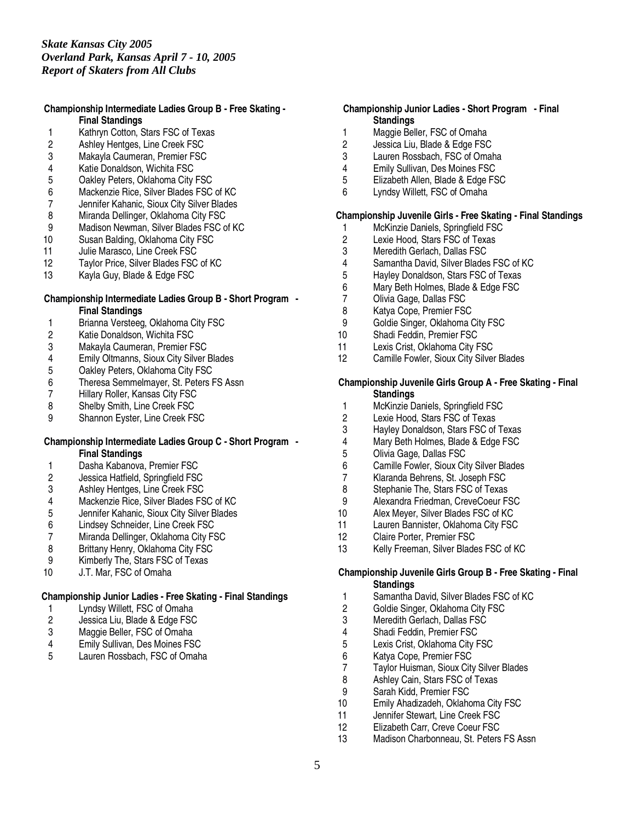#### **Championship Intermediate Ladies Group B - Free Skating - Final Standings**

- 1 Kathryn Cotton, Stars FSC of Texas<br>2 Ashley Hentges, Line Creek FSC
- 2 Ashley Hentges, Line Creek FSC<br>3 Makavla Caumeran, Premier FSC
- Makayla Caumeran, Premier FSC
- 4 Katie Donaldson, Wichita FSC<br>5 Oakley Peters, Oklahoma City
- 5 Oakley Peters, Oklahoma City FSC
- 6 Mackenzie Rice, Silver Blades FSC of KC
- 7 Jennifer Kahanic, Sioux City Silver Blades
- 8 Miranda Dellinger, Oklahoma City FSC<br>9 Madison Newman, Silver Blades FSC o
- Madison Newman, Silver Blades FSC of KC
- 10 Susan Balding, Oklahoma City FSC
- 11 Julie Marasco, Line Creek FSC<br>12 Tavlor Price, Silver Blades FSC
- Taylor Price, Silver Blades FSC of KC
- 13 Kayla Guy, Blade & Edge FSC

#### **Championship Intermediate Ladies Group B - Short Program - Final Standings**

- 1 Brianna Versteeg, Oklahoma City FSC
- 2 Katie Donaldson, Wichita FSC
- 3 Makayla Caumeran, Premier FSC
- 
- 4 Emily Oltmanns, Sioux City Silver Blades<br>5 Oakley Peters, Oklahoma City FSC
- 5 Oakley Peters, Oklahoma City FSC<br>6 Theresa Semmelmayer, St. Peters F 6 Theresa Semmelmayer, St. Peters FS Assn<br>7 Hillary Roller, Kansas City FSC
- 7 Hillary Roller, Kansas City FSC<br>8 Shelby Smith, Line Creek FSC
- 
- 8 Shelby Smith, Line Creek FSC<br>9 Shannon Evster. Line Creek FS Shannon Eyster, Line Creek FSC

#### **Championship Intermediate Ladies Group C - Short Program - Final Standings**

- 1 Dasha Kabanova, Premier FSC
- 2 Jessica Hatfield, Springfield FSC
- 
- 3 Ashley Hentges, Line Creek FSC<br>4 Mackenzie Rice. Silver Blades FS
- 4 Mackenzie Rice, Silver Blades FSC of KC<br>5 Jennifer Kahanic, Sioux City Silver Blades 5 Jennifer Kahanic, Sioux City Silver Blades<br>6 Lindsey Schneider, Line Creek FSC
- 6 Lindsey Schneider, Line Creek FSC
- 7 Miranda Dellinger, Oklahoma City FSC<br>8 Brittany Henry, Oklahoma City FSC
- Brittany Henry, Oklahoma City FSC
- 9 Kimberly The, Stars FSC of Texas
- 10 J.T. Mar, FSC of Omaha

# **Championship Junior Ladies - Free Skating - Final Standings**

- 1 Lyndsy Willett, FSC of Omaha<br>2 Jessica Liu, Blade & Edge FSC
- 2 Jessica Liu, Blade & Edge FSC<br>3 Maggie Beller, FSC of Omaha
- 3 Maggie Beller, FSC of Omaha
- 4 Emily Sullivan, Des Moines FSC<br>5 Lauren Rossbach. FSC of Omah
- Lauren Rossbach, FSC of Omaha

## **Championship Junior Ladies - Short Program - Final Standings**

- 1 Maggie Beller, FSC of Omaha<br>2 Jessica Liu. Blade & Edge FSC
- Jessica Liu, Blade & Edge FSC
- 3 Lauren Rossbach, FSC of Omaha
- 4 Emily Sullivan, Des Moines FSC<br>5 Elizabeth Allen, Blade & Edge FS
- 5 Elizabeth Allen, Blade & Edge FSC
- 6 Lyndsy Willett, FSC of Omaha

## **Championship Juvenile Girls - Free Skating - Final Standings**

- 1 McKinzie Daniels, Springfield FSC<br>2 Lexie Hood, Stars FSC of Texas
- 2 Lexie Hood, Stars FSC of Texas<br>3 Meredith Gerlach, Dallas FSC
- 3 Meredith Gerlach, Dallas FSC<br>4 Samantha David. Silver Blades
- 4 Samantha David, Silver Blades FSC of KC<br>5 Havlev Donaldson. Stars FSC of Texas
- 5 Hayley Donaldson, Stars FSC of Texas
- 6 Mary Beth Holmes, Blade & Edge FSC<br>7 Olivia Gage, Dallas FSC
- 7 Olivia Gage, Dallas FSC
- 8 Katya Cope, Premier FSC
- 9 Goldie Singer, Oklahoma City FSC
- 10 Shadi Feddin, Premier FSC
- 11 Lexis Crist, Oklahoma City FSC
- 12 Camille Fowler, Sioux City Silver Blades

## **Championship Juvenile Girls Group A - Free Skating - Final Standings**

- 1 McKinzie Daniels, Springfield FSC<br>2 Lexie Hood. Stars FSC of Texas
- 2 Lexie Hood, Stars FSC of Texas<br>3 Havley Donaldson, Stars FSC of
- 3 Hayley Donaldson, Stars FSC of Texas
- 4 Mary Beth Holmes, Blade & Edge FSC<br>5 Olivia Gage, Dallas FSC
- 5 Olivia Gage, Dallas FSC
- 6 Camille Fowler, Sioux City Silver Blades
- 7 Klaranda Behrens, St. Joseph FSC
- 8 Stephanie The, Stars FSC of Texas<br>9 Alexandra Friedman CreveCoeur FS
- 9 Alexandra Friedman, CreveCoeur FSC<br>10 Alex Meyer, Silver Blades FSC of KC
- Alex Meyer, Silver Blades FSC of KC
- 11 Lauren Bannister, Oklahoma City FSC<br>12 Claire Porter. Premier FSC
- Claire Porter, Premier FSC
- 13 Kelly Freeman, Silver Blades FSC of KC

## **Championship Juvenile Girls Group B - Free Skating - Final Standings**

- 1 Samantha David, Silver Blades FSC of KC
- 2 Goldie Singer, Oklahoma City FSC<br>3 Meredith Gerlach. Dallas FSC
- 3 Meredith Gerlach, Dallas FSC<br>4 Shadi Feddin, Premier FSC
- 4 Shadi Feddin, Premier FSC<br>5 Lexis Crist. Oklahoma City F
- 5 Lexis Crist, Oklahoma City FSC<br>6 Katya Cope, Premier FSC
- 
- 6 Katya Cope, Premier FSC 7 Taylor Huisman, Sioux City Silver Blades<br>8 Ashley Cain. Stars FSC of Texas
- 8 Ashley Cain, Stars FSC of Texas<br>9 Sarah Kidd, Premier FSC
- Sarah Kidd, Premier FSC
- 10 Emily Ahadizadeh, Oklahoma City FSC
- 11 Jennifer Stewart, Line Creek FSC
- 12 Elizabeth Carr, Creve Coeur FSC
- 13 Madison Charbonneau, St. Peters FS Assn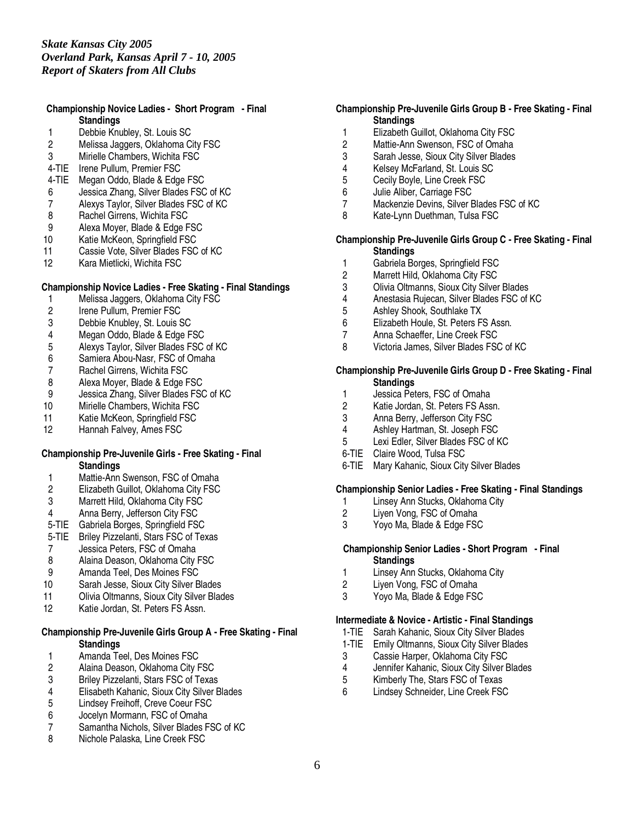## **Championship Novice Ladies - Short Program - Final Standings**

- 1 Debbie Knubley, St. Louis SC<br>2 Melissa Jaggers. Oklahoma C
- Melissa Jaggers, Oklahoma City FSC
- 3 Mirielle Chambers, Wichita FSC
- 4-TIE Irene Pullum, Premier FSC
- 4-TIE Megan Oddo, Blade & Edge FSC
- 6 Jessica Zhang, Silver Blades FSC of KC
- 7 Alexys Taylor, Silver Blades FSC of KC
- 8 Rachel Girrens, Wichita FSC<br>9 Alexa Moyer, Blade & Edge F
- Alexa Moyer, Blade & Edge FSC
- 10 Katie McKeon, Springfield FSC
- 11 Cassie Vote, Silver Blades FSC of KC<br>12 Kara Mietlicki. Wichita FSC
- Kara Mietlicki, Wichita FSC

## **Championship Novice Ladies - Free Skating - Final Standings**

- 1 Melissa Jaggers, Oklahoma City FSC<br>2 Irene Pullum, Premier FSC
- 2 Irene Pullum, Premier FSC<br>3 Debbie Knublev. St. Louis 9
- Debbie Knubley, St. Louis SC
- 4 Megan Oddo, Blade & Edge FSC
- 5 Alexys Taylor, Silver Blades FSC of KC
- 6 Samiera Abou-Nasr, FSC of Omaha
- 
- 7 Rachel Girrens, Wichita FSC<br>8 Alexa Moyer, Blade & Edge F Alexa Moyer, Blade & Edge FSC
- 9 Jessica Zhang, Silver Blades FSC of KC
- 10 Mirielle Chambers, Wichita FSC
- 11 Katie McKeon, Springfield FSC<br>12 Hannah Falvev. Ames FSC
- Hannah Falvey, Ames FSC

#### **Championship Pre-Juvenile Girls - Free Skating - Final Standings**

- 1 Mattie-Ann Swenson, FSC of Omaha
- 2 Elizabeth Guillot, Oklahoma City FSC<br>3 Marrett Hild. Oklahoma City FSC
- Marrett Hild, Oklahoma City FSC
- 4 Anna Berry, Jefferson City FSC
- 5-TIE Gabriela Borges, Springfield FSC
- 5-TIE Briley Pizzelanti, Stars FSC of Texas
- 7 Jessica Peters, FSC of Omaha
- 8 Alaina Deason, Oklahoma City FSC
- 9 Amanda Teel, Des Moines FSC
- 10 Sarah Jesse, Sioux City Silver Blades
- 11 Olivia Oltmanns, Sioux City Silver Blades
- 12 Katie Jordan, St. Peters FS Assn.

# **Championship Pre-Juvenile Girls Group A - Free Skating - Final Standings**

- 1 Amanda Teel, Des Moines FSC<br>2 Alaina Deason, Oklahoma City F
- 2 Alaina Deason, Oklahoma City FSC<br>3 Briley Pizzelanti, Stars FSC of Texas
- 3 Briley Pizzelanti, Stars FSC of Texas
- 4 Elisabeth Kahanic, Sioux City Silver Blades
- 5 Lindsey Freihoff, Creve Coeur FSC
- 6 Jocelyn Mormann, FSC of Omaha
- 7 Samantha Nichols, Silver Blades FSC of KC
- Nichole Palaska, Line Creek FSC

## **Championship Pre-Juvenile Girls Group B - Free Skating - Final Standings**

- 1 Elizabeth Guillot, Oklahoma City FSC<br>2 Mattie-Ann Swenson. FSC of Omaha
- Mattie-Ann Swenson, FSC of Omaha
- 3 Sarah Jesse, Sioux City Silver Blades
- 4 Kelsey McFarland, St. Louis SC<br>5 Cecily Boyle. Line Creek FSC
- 5 Cecily Boyle, Line Creek FSC
- 6 Julie Aliber, Carriage FSC
- 7 Mackenzie Devins, Silver Blades FSC of KC
- 8 Kate-Lynn Duethman, Tulsa FSC

#### **Championship Pre-Juvenile Girls Group C - Free Skating - Final Standings**

- 
- 1 Gabriela Borges, Springfield FSC<br>2 Marrett Hild. Oklahoma City FSC Marrett Hild, Oklahoma City FSC
- 3 Olivia Oltmanns, Sioux City Silver Blades
- 4 Anestasia Rujecan, Silver Blades FSC of KC
- 5 Ashley Shook, Southlake TX
- 6 Elizabeth Houle, St. Peters FS Assn.
- 7 Anna Schaeffer, Line Creek FSC
- 8 Victoria James, Silver Blades FSC of KC

#### **Championship Pre-Juvenile Girls Group D - Free Skating - Final Standings**

- 1 Jessica Peters, FSC of Omaha
- 2 Katie Jordan, St. Peters FS Assn.<br>3 Anna Berry. Jefferson City FSC
- 3 Anna Berry, Jefferson City FSC<br>4 Ashlev Hartman, St. Joseph FSC
- 4 Ashley Hartman, St. Joseph FSC
- 5 Lexi Edler, Silver Blades FSC of KC
- 6-TIE Claire Wood, Tulsa FSC
- 6-TIE Mary Kahanic, Sioux City Silver Blades

## **Championship Senior Ladies - Free Skating - Final Standings**

- 1 Linsey Ann Stucks, Oklahoma City<br>2 Liyen Vong, FSC of Omaha
- 2 Liyen Vong, FSC of Omaha<br>3 Yovo Ma. Blade & Edge FSC
- Yoyo Ma, Blade & Edge FSC

#### **Championship Senior Ladies - Short Program - Final Standings**

- 1 Linsey Ann Stucks, Oklahoma City
- 2 Liyen Vong, FSC of Omaha
- 3 Yoyo Ma, Blade & Edge FSC

#### **Intermediate & Novice - Artistic - Final Standings**

- 1-TIE Sarah Kahanic, Sioux City Silver Blades
- 1-TIE Emily Oltmanns, Sioux City Silver Blades<br>3 Cassie Harper. Oklahoma City FSC
- Cassie Harper, Oklahoma City FSC
- 4 Jennifer Kahanic, Sioux City Silver Blades
- 5 Kimberly The, Stars FSC of Texas
- 6 Lindsey Schneider, Line Creek FSC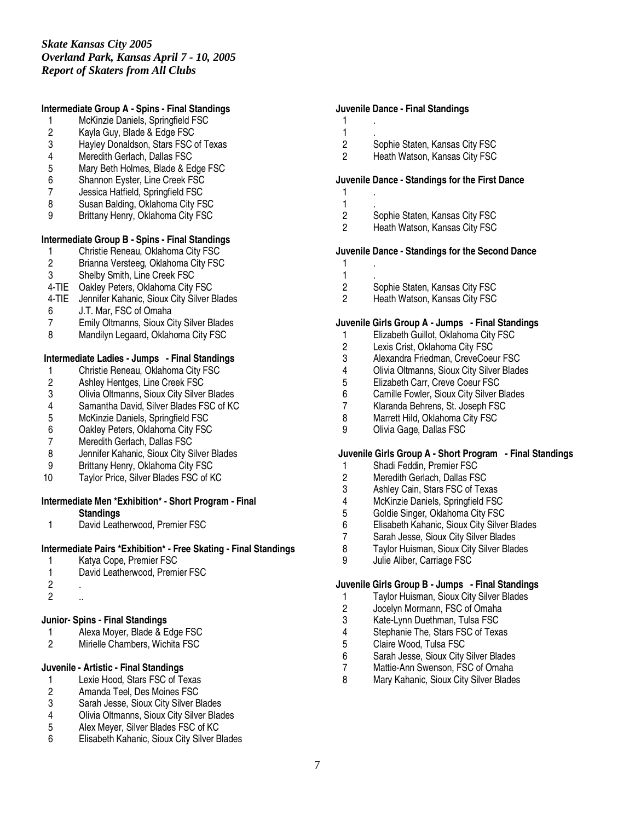#### **Intermediate Group A - Spins - Final Standings**

- 1 McKinzie Daniels, Springfield FSC
- 2 Kayla Guy, Blade & Edge FSC<br>3 Hayley Donaldson, Stars FSC
- Hayley Donaldson, Stars FSC of Texas
- 4 Meredith Gerlach, Dallas FSC
- 5 Mary Beth Holmes, Blade & Edge FSC<br>6 Shannon Eyster, Line Creek FSC
- Shannon Eyster, Line Creek FSC
- 7 Jessica Hatfield, Springfield FSC
- 8 Susan Balding, Oklahoma City FSC
- 9 Brittany Henry, Oklahoma City FSC

## **Intermediate Group B - Spins - Final Standings**

- 1 Christie Reneau, Oklahoma City FSC<br>2 Brianna Versteeg, Oklahoma City FSC
- Brianna Versteeg, Oklahoma City FSC
- 3 Shelby Smith, Line Creek FSC
- 4-TIE Oakley Peters, Oklahoma City FSC
- 4-TIE Jennifer Kahanic, Sioux City Silver Blades
- 6 J.T. Mar, FSC of Omaha
- 7 Emily Oltmanns, Sioux City Silver Blades
- 8 Mandilyn Legaard, Oklahoma City FSC

#### **Intermediate Ladies - Jumps - Final Standings**

- 1 Christie Reneau, Oklahoma City FSC<br>2 Ashley Hentges, Line Creek FSC
- 2 Ashley Hentges, Line Creek FSC<br>3 Olivia Oltmanns, Sioux City Silver
- 3 Olivia Oltmanns, Sioux City Silver Blades
- 4 Samantha David, Silver Blades FSC of KC<br>5 McKinzie Daniels, Springfield FSC
- 5 McKinzie Daniels, Springfield FSC<br>6 Oakley Peters, Oklahoma City FSC
- 6 Oakley Peters, Oklahoma City FSC
- Meredith Gerlach, Dallas FSC
- 8 Jennifer Kahanic, Sioux City Silver Blades
- 9 Brittany Henry, Oklahoma City FSC
- 10 Taylor Price, Silver Blades FSC of KC

#### **Intermediate Men \*Exhibition\* - Short Program - Final**

**Standings**

1 David Leatherwood, Premier FSC

#### **Intermediate Pairs \*Exhibition\* - Free Skating - Final Standings**

- 1 Katya Cope, Premier FSC
- 1 David Leatherwood, Premier FSC
- 2 .
- 2 ..

#### **Junior- Spins - Final Standings**

- 1 Alexa Moyer, Blade & Edge FSC<br>2 Mirielle Chambers. Wichita FSC
- 2 Mirielle Chambers, Wichita FSC

#### **Juvenile - Artistic - Final Standings**

- 1 Lexie Hood, Stars FSC of Texas<br>2 Amanda Teel, Des Moines FSC
- 2 Amanda Teel, Des Moines FSC<br>3 Sarah Jesse. Sioux City Silver B
- 3 Sarah Jesse, Sioux City Silver Blades
- 4 Olivia Oltmanns, Sioux City Silver Blades<br>5 Alex Mever, Silver Blades FSC of KC
- 5 Alex Meyer, Silver Blades FSC of KC<br>6 Flisabeth Kahanic Sioux City Silver B
- 6 Elisabeth Kahanic, Sioux City Silver Blades

#### **Juvenile Dance - Final Standings**

1 .  $\frac{1}{2}$ 

2 Sophie Staten, Kansas City FSC<br>2 Heath Watson, Kansas City FSC

Heath Watson, Kansas City FSC

# **Juvenile Dance - Standings for the First Dance**

- 1 .  $\frac{1}{2}$
- 2 Sophie Staten, Kansas City FSC<br>2 Heath Watson, Kansas City FSC Heath Watson, Kansas City FSC
- 

# **Juvenile Dance - Standings for the Second Dance**

- 1 .  $\frac{1}{2}$ 
	-
- 2 Sophie Staten, Kansas City FSC<br>2 Heath Watson. Kansas City FSC

Heath Watson, Kansas City FSC

#### **Juvenile Girls Group A - Jumps - Final Standings**

- 1 Elizabeth Guillot, Oklahoma City FSC
- 2 Lexis Crist, Oklahoma City FSC
- 3 Alexandra Friedman, CreveCoeur FSC
- 4 Olivia Oltmanns, Sioux City Silver Blades<br>5 Elizabeth Carr, Creve Coeur FSC
- 5 Elizabeth Carr, Creve Coeur FSC<br>6 Camille Fowler, Sioux City Silver E
- 6 Camille Fowler, Sioux City Silver Blades<br>7 Klaranda Behrens. St. Joseph FSC
- 7 Klaranda Behrens, St. Joseph FSC<br>8 Marrett Hild. Oklahoma City FSC
- 8 Marrett Hild, Oklahoma City FSC<br>9 Olivia Gage, Dallas FSC
- 9 Olivia Gage, Dallas FSC

#### **Juvenile Girls Group A - Short Program - Final Standings**

- 1 Shadi Feddin, Premier FSC
- 2 Meredith Gerlach, Dallas FSC
- 3 Ashley Cain, Stars FSC of Texas<br>4 McKinzie Daniels. Springfield FSC
- 4 McKinzie Daniels, Springfield FSC<br>5 Goldie Singer, Oklahoma City FSC
- 
- 5 Goldie Singer, Oklahoma City FSC<br>6 Elisabeth Kahanic, Sioux City Silver 6 Elisabeth Kahanic, Sioux City Silver Blades<br>7 Sarah Jesse, Sioux City Silver Blades
- 7 Sarah Jesse, Sioux City Silver Blades<br>8 Tavlor Huisman, Sioux City Silver Blad
- Taylor Huisman, Sioux City Silver Blades
- 9 Julie Aliber, Carriage FSC

#### **Juvenile Girls Group B - Jumps - Final Standings**

- 1 Taylor Huisman, Sioux City Silver Blades
- 2 Jocelyn Mormann, FSC of Omaha<br>3 Kate-Lynn Duethman, Tulsa FSC
- 3 Kate-Lynn Duethman, Tulsa FSC<br>4 Stephanie The, Stars FSC of Texa
- 4 Stephanie The, Stars FSC of Texas<br>5 Claire Wood. Tulsa FSC
- 5 Claire Wood, Tulsa FSC<br>6 Sarah Jesse, Sioux City :
- 6 Sarah Jesse, Sioux City Silver Blades
- Mattie-Ann Swenson, FSC of Omaha
- 8 Mary Kahanic, Sioux City Silver Blades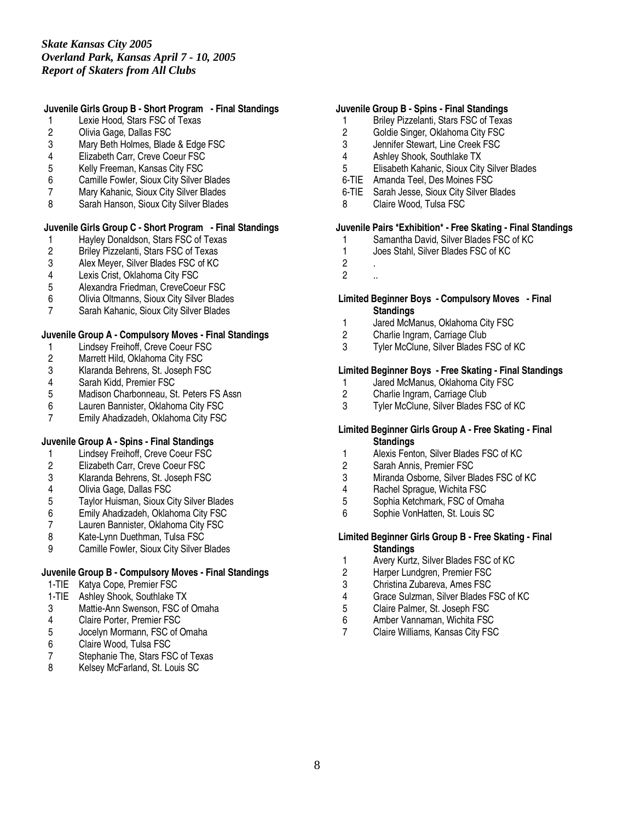# **Juvenile Girls Group B - Short Program - Final Standings**

- 1 Lexie Hood, Stars FSC of Texas
- 2 Olivia Gage, Dallas FSC<br>3 Mary Beth Holmes. Blade
- Mary Beth Holmes, Blade & Edge FSC
- 4 Elizabeth Carr, Creve Coeur FSC
- 5 Kelly Freeman, Kansas City FSC<br>6 Camille Fowler, Sioux City Silver I
- 6 Camille Fowler, Sioux City Silver Blades
- 7 Mary Kahanic, Sioux City Silver Blades
- 8 Sarah Hanson, Sioux City Silver Blades

# **Juvenile Girls Group C - Short Program - Final Standings**

- 1 Hayley Donaldson, Stars FSC of Texas<br>2 Briley Pizzelanti, Stars FSC of Texas
- 2 Briley Pizzelanti, Stars FSC of Texas<br>3 Alex Mever, Silver Blades FSC of KC
- 3 Alex Meyer, Silver Blades FSC of KC<br>4 Lexis Crist. Oklahoma City FSC
- 4 Lexis Crist, Oklahoma City FSC<br>5 Alexandra Friedman. CreveCoeu
- 5 Alexandra Friedman, CreveCoeur FSC<br>6 Olivia Oltmanns. Sioux City Silver Blade
- 6 Olivia Oltmanns, Sioux City Silver Blades
- Sarah Kahanic, Sioux City Silver Blades

#### **Juvenile Group A - Compulsory Moves - Final Standings**

- 1 Lindsey Freihoff, Creve Coeur FSC<br>2 Marrett Hild, Oklahoma City FSC
- 2 Marrett Hild, Oklahoma City FSC<br>3 Klaranda Behrens, St. Joseph FS
- 3 Klaranda Behrens, St. Joseph FSC
- 4 Sarah Kidd, Premier FSC
- Madison Charbonneau, St. Peters FS Assn
- 6 Lauren Bannister, Oklahoma City FSC<br>7 Emily Ahadizadeh. Oklahoma City FSC
- Emily Ahadizadeh, Oklahoma City FSC

## **Juvenile Group A - Spins - Final Standings**

- 1 Lindsey Freihoff, Creve Coeur FSC<br>2 Elizabeth Carr, Creve Coeur FSC
- 2 Elizabeth Carr, Creve Coeur FSC
- 3 Klaranda Behrens, St. Joseph FSC
- 4 Olivia Gage, Dallas FSC
- 5 Taylor Huisman, Sioux City Silver Blades
- 6 Emily Ahadizadeh, Oklahoma City FSC
- 7 Lauren Bannister, Oklahoma City FSC<br>8 Kate-Lynn Duethman. Tulsa FSC
- 8 Kate-Lynn Duethman, Tulsa FSC<br>9 Camille Fowler. Sioux City Silver I
- 9 Camille Fowler, Sioux City Silver Blades

## **Juvenile Group B - Compulsory Moves - Final Standings**

- 1-TIE Katya Cope, Premier FSC
- 1-TIE Ashley Shook, Southlake TX
- 3 Mattie-Ann Swenson, FSC of Omaha<br>4 Claire Porter. Premier FSC
- 4 Claire Porter, Premier FSC<br>5 Jocelyn Mormann, FSC of 0
- Jocelyn Mormann, FSC of Omaha
- 6 Claire Wood, Tulsa FSC<br>7 Stephanie The, Stars FS
- Stephanie The, Stars FSC of Texas
- 8 Kelsey McFarland, St. Louis SC

#### **Juvenile Group B - Spins - Final Standings**

- 1 Briley Pizzelanti, Stars FSC of Texas
- 2 Goldie Singer, Oklahoma City FSC<br>3 Jennifer Stewart. Line Creek FSC
- Jennifer Stewart, Line Creek FSC
- 4 Ashley Shook, Southlake TX
- 5 Elisabeth Kahanic, Sioux City Silver Blades
- 6-TIE Amanda Teel, Des Moines FSC
- 6-TIE Sarah Jesse, Sioux City Silver Blades
- 8 Claire Wood, Tulsa FSC

# **Juvenile Pairs \*Exhibition\* - Free Skating - Final Standings**

- 1 Samantha David, Silver Blades FSC of KC<br>1 Joes Stahl, Silver Blades FSC of KC
- Joes Stahl, Silver Blades FSC of KC
- 2 .
- $2 \ldots$

## **Limited Beginner Boys - Compulsory Moves - Final Standings**

- 1 Jared McManus, Oklahoma City FSC
- 2 Charlie Ingram, Carriage Club
- 3 Tyler McClune, Silver Blades FSC of KC

# **Limited Beginner Boys - Free Skating - Final Standings**

- 1 Jared McManus, Oklahoma City FSC<br>2 Charlie Ingram, Carriage Club
- Charlie Ingram, Carriage Club
- 3 Tyler McClune, Silver Blades FSC of KC

#### **Limited Beginner Girls Group A - Free Skating - Final Standings**

- 1 Alexis Fenton, Silver Blades FSC of KC
- 2 Sarah Annis, Premier FSC
- 3 Miranda Osborne, Silver Blades FSC of KC
- 4 Rachel Sprague, Wichita FSC<br>5 Sophia Ketchmark. FSC of Om
- 5 Sophia Ketchmark, FSC of Omaha<br>6 Sophie VonHatten. St. Louis SC
- Sophie VonHatten, St. Louis SC

#### **Limited Beginner Girls Group B - Free Skating - Final Standings**

- 1 Avery Kurtz, Silver Blades FSC of KC
- 2 Harper Lundgren, Premier FSC
- 3 Christina Zubareva, Ames FSC
- 4 Grace Sulzman, Silver Blades FSC of KC
- 5 Claire Palmer, St. Joseph FSC<br>6 Amber Vannaman. Wichita FSC
- 6 Amber Vannaman, Wichita FSC
- 7 Claire Williams, Kansas City FSC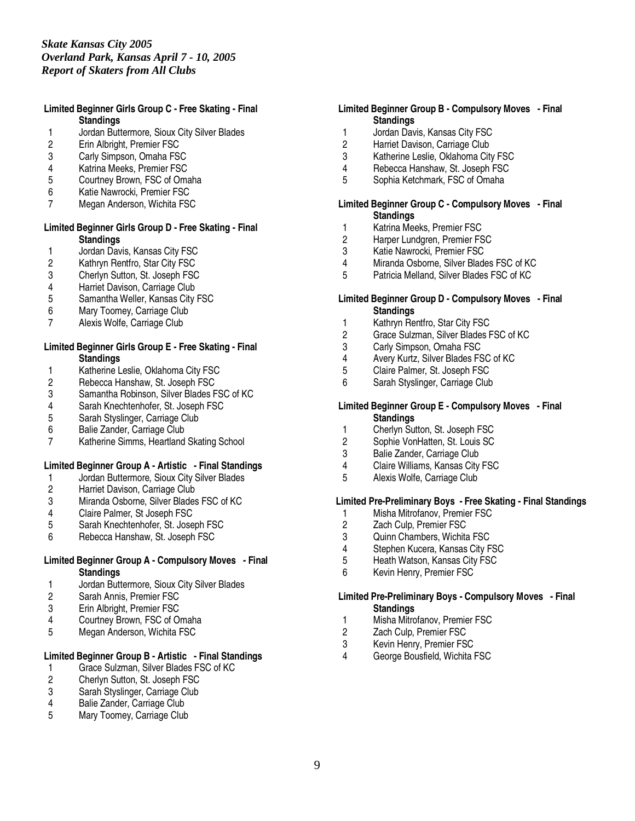# *Skate Kansas City 2005 Overland Park, Kansas April 7 - 10, 2005 Report of Skaters from All Clubs*

#### **Limited Beginner Girls Group C - Free Skating - Final Standings**

- 1 Jordan Buttermore, Sioux City Silver Blades<br>2 Erin Albright, Premier FSC
- 2 Erin Albright, Premier FSC
- 3 Carly Simpson, Omaha FSC
- 4 Katrina Meeks, Premier FSC<br>5 Courtnev Brown, FSC of Oma
- 5 Courtney Brown, FSC of Omaha
- 6 Katie Nawrocki, Premier FSC
- 7 Megan Anderson, Wichita FSC

## **Limited Beginner Girls Group D - Free Skating - Final Standings**

- 1 Jordan Davis, Kansas City FSC<br>2 Kathryn Rentfro, Star City FSC
- 2 Kathryn Rentfro, Star City FSC<br>3 Cherlyn Sutton, St. Joseph FSC
- 3 Cherlyn Sutton, St. Joseph FSC<br>4 Harriet Davison. Carriage Club
- 4 Harriet Davison, Carriage Club<br>5 Samantha Weller, Kansas City
- 5 Samantha Weller, Kansas City FSC
- 6 Mary Toomey, Carriage Club<br>7 Alexis Wolfe, Carriage Club
- Alexis Wolfe, Carriage Club

#### **Limited Beginner Girls Group E - Free Skating - Final Standings**

- 1 Katherine Leslie, Oklahoma City FSC<br>2 Rebecca Hanshaw, St. Joseph FSC
- 2 Rebecca Hanshaw, St. Joseph FSC<br>3 Samantha Robinson, Silver Blades F
- 3 Samantha Robinson, Silver Blades FSC of KC
- 4 Sarah Knechtenhofer, St. Joseph FSC<br>5 Sarah Styslinger, Carriage Club
- 5 Sarah Styslinger, Carriage Club<br>6 Balie Zander, Carriage Club
- 6 Balie Zander, Carriage Club<br>7 Katherine Simms, Heartland
- Katherine Simms, Heartland Skating School

## **Limited Beginner Group A - Artistic - Final Standings**

- 1 Jordan Buttermore, Sioux City Silver Blades<br>2 Harriet Davison, Carriage Club
- 2 Harriet Davison, Carriage Club<br>3 Miranda Osborne, Silver Blades
- 3 Miranda Osborne, Silver Blades FSC of KC<br>4 Claire Palmer, St Joseph FSC
- 
- 4 Claire Palmer, St Joseph FSC<br>5 Sarah Knechtenhofer, St. Jose 5 Sarah Knechtenhofer, St. Joseph FSC<br>6 Rebecca Hanshaw. St. Joseph FSC
- 6 Rebecca Hanshaw, St. Joseph FSC

## **Limited Beginner Group A - Compulsory Moves - Final Standings**

- 1 Jordan Buttermore, Sioux City Silver Blades
- Sarah Annis, Premier FSC
- 3 Erin Albright, Premier FSC<br>4 Courtney Brown, FSC of O
- 4 Courtney Brown, FSC of Omaha<br>5 Megan Anderson, Wichita FSC
- 5 Megan Anderson, Wichita FSC

# **Limited Beginner Group B - Artistic - Final Standings**

- 1 Grace Sulzman, Silver Blades FSC of KC<br>2 Cherlyn Sutton, St. Joseph FSC
- 2 Cherlyn Sutton, St. Joseph FSC<br>3 Sarah Styslinger. Carriage Club
- 3 Sarah Styslinger, Carriage Club<br>4 Balie Zander, Carriage Club
- Balie Zander, Carriage Club
- 5 Mary Toomey, Carriage Club

## **Limited Beginner Group B - Compulsory Moves - Final Standings**

- 1 Jordan Davis, Kansas City FSC<br>2 Harriet Davison. Carriage Club
- Harriet Davison, Carriage Club
- 3 Katherine Leslie, Oklahoma City FSC
- 4 Rebecca Hanshaw, St. Joseph FSC<br>5 Sophia Ketchmark, FSC of Omaha
- 5 Sophia Ketchmark, FSC of Omaha

#### **Limited Beginner Group C - Compulsory Moves - Final Standings**

- 1 Katrina Meeks, Premier FSC<br>2 Harper Lundgren, Premier FS
- 2 Harper Lundgren, Premier FSC<br>3 Katie Nawrocki, Premier FSC
- 3 Katie Nawrocki, Premier FSC<br>4 Miranda Osborne, Silver Blade
- 4 Miranda Osborne, Silver Blades FSC of KC<br>5 Patricia Melland. Silver Blades FSC of KC
- 5 Patricia Melland, Silver Blades FSC of KC

## **Limited Beginner Group D - Compulsory Moves - Final Standings**

- 1 Kathryn Rentfro, Star City FSC
- 2 Grace Sulzman, Silver Blades FSC of KC
- 3 Carly Simpson, Omaha FSC
- 4 Avery Kurtz, Silver Blades FSC of KC<br>5 Claire Palmer. St. Joseph FSC
- 5 Claire Palmer, St. Joseph FSC<br>6 Sarah Styslinger, Carriage Club
- Sarah Styslinger, Carriage Club

#### **Limited Beginner Group E - Compulsory Moves - Final Standings**

- 1 Cherlyn Sutton, St. Joseph FSC
- 2 Sophie VonHatten, St. Louis SC<br>3 Balie Zander. Carriage Club
- Balie Zander, Carriage Club
- 4 Claire Williams, Kansas City FSC
- 5 Alexis Wolfe, Carriage Club

## **Limited Pre-Preliminary Boys - Free Skating - Final Standings**

- 1 Misha Mitrofanov, Premier FSC<br>2 Zach Culp, Premier FSC
- 2 Zach Culp, Premier FSC<br>3 Quinn Chambers. Wichita
- 3 Quinn Chambers, Wichita FSC<br>4 Stephen Kucera, Kansas City F
- 4 Stephen Kucera, Kansas City FSC
- 5 Heath Watson, Kansas City FSC
- 6 Kevin Henry, Premier FSC

#### **Limited Pre-Preliminary Boys - Compulsory Moves - Final Standings**

- 1 Misha Mitrofanov, Premier FSC
- 2 Zach Culp, Premier FSC
- 
- 3 Kevin Henry, Premier FSC<br>4 George Bousfield, Wichita George Bousfield, Wichita FSC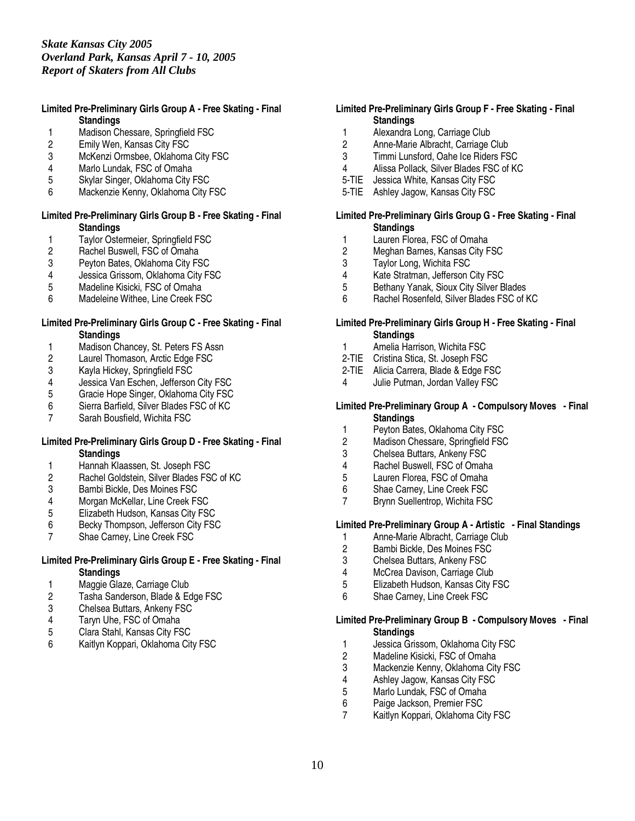## **Limited Pre-Preliminary Girls Group A - Free Skating - Final Standings**

- 1 Madison Chessare, Springfield FSC<br>2 Emily Wen. Kansas City FSC
- Emily Wen, Kansas City FSC
- 3 McKenzi Ormsbee, Oklahoma City FSC
- 4 Marlo Lundak, FSC of Omaha<br>5 Skylar Singer, Oklahoma City I
- 5 Skylar Singer, Oklahoma City FSC
- 6 Mackenzie Kenny, Oklahoma City FSC

## **Limited Pre-Preliminary Girls Group B - Free Skating - Final Standings**

- 1 Taylor Ostermeier, Springfield FSC<br>2 Rachel Buswell, FSC of Omaha
- 2 Rachel Buswell, FSC of Omaha<br>3 Pevton Bates. Oklahoma City FS
- 3 Peyton Bates, Oklahoma City FSC<br>4 Jessica Grissom. Oklahoma City FS
- 4 Jessica Grissom, Oklahoma City FSC<br>5 Madeline Kisicki, FSC of Omaha
- Madeline Kisicki, FSC of Omaha
- 6 Madeleine Withee, Line Creek FSC

#### **Limited Pre-Preliminary Girls Group C - Free Skating - Final Standings**

- 1 Madison Chancey, St. Peters FS Assn<br>2 Laurel Thomason. Arctic Edge FSC
- 2 Laurel Thomason, Arctic Edge FSC<br>3 Kayla Hickey, Springfield FSC
- 3 Kayla Hickey, Springfield FSC<br>4 Jessica Van Eschen, Jefferson
- 4 Jessica Van Eschen, Jefferson City FSC<br>5 Gracie Hope Singer, Oklahoma City FSC
- 5 Gracie Hope Singer, Oklahoma City FSC
- 6 Sierra Barfield, Silver Blades FSC of KC
- Sarah Bousfield, Wichita FSC

#### **Limited Pre-Preliminary Girls Group D - Free Skating - Final Standings**

- 1 Hannah Klaassen, St. Joseph FSC
- 2 Rachel Goldstein, Silver Blades FSC of KC
- 3 Bambi Bickle, Des Moines FSC<br>4 Morgan McKellar, Line Creek FS
- 4 Morgan McKellar, Line Creek FSC<br>5 Elizabeth Hudson, Kansas City FS
- 5 Elizabeth Hudson, Kansas City FSC
- 6 Becky Thompson, Jefferson City FSC<br>7 Shae Carnev. Line Creek FSC
- Shae Carney, Line Creek FSC

# **Limited Pre-Preliminary Girls Group E - Free Skating - Final Standings**

- 1 Maggie Glaze, Carriage Club<br>2 Tasha Sanderson, Blade & Ec
- Tasha Sanderson, Blade & Edge FSC
- 3 Chelsea Buttars, Ankeny FSC<br>4 Tarvn Uhe. FSC of Omaha
- 4 Taryn Uhe, FSC of Omaha<br>5 Clara Stahl, Kansas City FS
- 5 Clara Stahl, Kansas City FSC
- 6 Kaitlyn Koppari, Oklahoma City FSC

## **Limited Pre-Preliminary Girls Group F - Free Skating - Final Standings**

- 1 Alexandra Long, Carriage Club<br>2 Anne-Marie Albracht. Carriage (
- 2 Anne-Marie Albracht, Carriage Club
- 3 Timmi Lunsford, Oahe Ice Riders FSC
- 4 Alissa Pollack, Silver Blades FSC of KC
- 5-TIE Jessica White, Kansas City FSC
- 5-TIE Ashley Jagow, Kansas City FSC

#### **Limited Pre-Preliminary Girls Group G - Free Skating - Final Standings**

- 1 Lauren Florea, FSC of Omaha<br>2 Meghan Barnes, Kansas City F
- 2 Meghan Barnes, Kansas City FSC<br>3 Tavlor Long. Wichita FSC
- 3 Taylor Long, Wichita FSC<br>4 Kate Stratman, Jefferson (
- 4 Kate Stratman, Jefferson City FSC<br>5 Bethany Yanak. Sioux City Silver B
- 5 Bethany Yanak, Sioux City Silver Blades
- 6 Rachel Rosenfeld, Silver Blades FSC of KC

#### **Limited Pre-Preliminary Girls Group H - Free Skating - Final Standings**

- 1 Amelia Harrison, Wichita FSC
- 2-TIE Cristina Stica, St. Joseph FSC
- 2-TIE Alicia Carrera, Blade & Edge FSC
- 4 Julie Putman, Jordan Valley FSC

#### **Limited Pre-Preliminary Group A - Compulsory Moves - Final Standings**

- 1 Peyton Bates, Oklahoma City FSC
- 2 Madison Chessare, Springfield FSC
- 3 Chelsea Buttars, Ankeny FSC
- 4 Rachel Buswell, FSC of Omaha
- 5 Lauren Florea, FSC of Omaha
- 6 Shae Carney, Line Creek FSC<br>7 Brynn Suellentron Wichita FSC
- 7 Brynn Suellentrop, Wichita FSC

#### **Limited Pre-Preliminary Group A - Artistic - Final Standings**

- 1 Anne-Marie Albracht, Carriage Club<br>2 Bambi Bickle, Des Moines FSC
- 2 Bambi Bickle, Des Moines FSC
- 3 Chelsea Buttars, Ankeny FSC
- 4 McCrea Davison, Carriage Club<br>5 Elizabeth Hudson, Kansas City F
- 5 Elizabeth Hudson, Kansas City FSC
- 6 Shae Carney, Line Creek FSC

#### **Limited Pre-Preliminary Group B - Compulsory Moves - Final Standings**

- 1 Jessica Grissom, Oklahoma City FSC<br>2 Madeline Kisicki. FSC of Omaha
- Madeline Kisicki, FSC of Omaha
- 3 Mackenzie Kenny, Oklahoma City FSC<br>4 Ashley Jagow, Kansas City FSC
- 4 Ashley Jagow, Kansas City FSC<br>5 Marlo Lundak, FSC of Omaha
- 5 Marlo Lundak, FSC of Omaha<br>6 Paige Jackson, Premier FSC
- Paige Jackson, Premier FSC
- 7 Kaitlyn Koppari, Oklahoma City FSC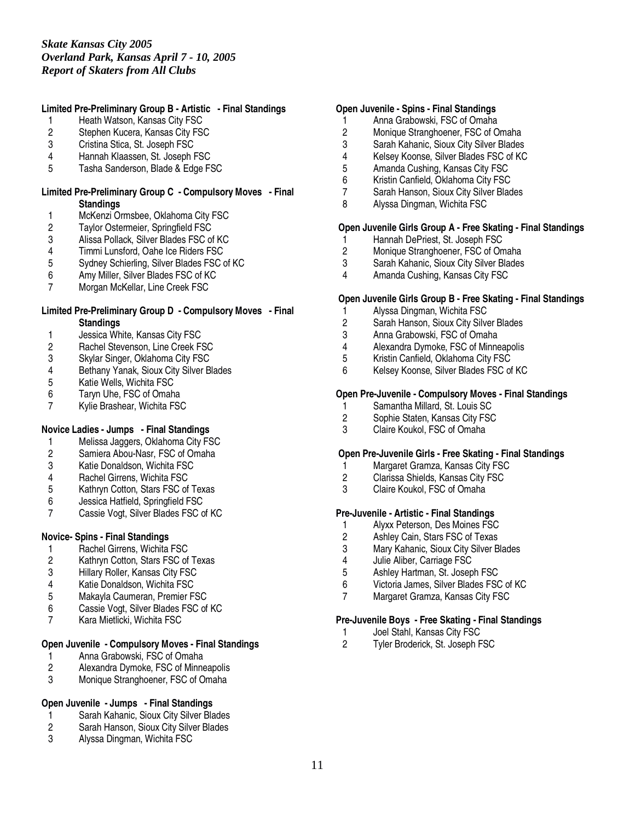# **Limited Pre-Preliminary Group B - Artistic - Final Standings**

- 1 Heath Watson, Kansas City FSC
- 2 Stephen Kucera, Kansas City FSC<br>3 Cristina Stica. St. Joseph FSC
- Cristina Stica, St. Joseph FSC
- 4 Hannah Klaassen, St. Joseph FSC
- 5 Tasha Sanderson, Blade & Edge FSC

#### **Limited Pre-Preliminary Group C - Compulsory Moves - Final Standings**

- 1 McKenzi Ormsbee, Oklahoma City FSC<br>2 Taylor Ostermeier, Springfield FSC
- 2 Taylor Ostermeier, Springfield FSC<br>3 Alissa Pollack, Silver Blades FSC of
- 3 Alissa Pollack, Silver Blades FSC of KC
- 4 Timmi Lunsford, Oahe Ice Riders FSC<br>5 Sydney Schierling, Silver Blades FSC
- 5 Sydney Schierling, Silver Blades FSC of KC
- 6 Amy Miller, Silver Blades FSC of KC
- 7 Morgan McKellar, Line Creek FSC

#### **Limited Pre-Preliminary Group D - Compulsory Moves - Final Standings**

- 1 Jessica White, Kansas City FSC<br>2 Rachel Stevenson, Line Creek F.
- Rachel Stevenson, Line Creek FSC
- 3 Skylar Singer, Oklahoma City FSC
- 4 Bethany Yanak, Sioux City Silver Blades
- Katie Wells, Wichita FSC
- 6 Taryn Uhe, FSC of Omaha
- 7 Kylie Brashear, Wichita FSC

## **Novice Ladies - Jumps - Final Standings**

- 1 Melissa Jaggers, Oklahoma City FSC<br>2 Samiera Abou-Nasr, FSC of Omaha
- Samiera Abou-Nasr, FSC of Omaha
- 3 Katie Donaldson, Wichita FSC
- 4 Rachel Girrens, Wichita FSC
- 5 Kathryn Cotton, Stars FSC of Texas<br>6 Jessica Hatfield. Springfield FSC
- 6 Jessica Hatfield, Springfield FSC
- Cassie Vogt, Silver Blades FSC of KC

## **Novice- Spins - Final Standings**

- 1 Rachel Girrens, Wichita FSC<br>2 Kathrvn Cotton, Stars FSC of
- Kathryn Cotton, Stars FSC of Texas
- 3 Hillary Roller, Kansas City FSC
- 
- 4 Katie Donaldson, Wichita FSC<br>5 Makavla Caumeran, Premier F 5 Makayla Caumeran, Premier FSC
- 6 Cassie Vogt, Silver Blades FSC of KC<br>7 Kara Mietlicki Wichita FSC
- Kara Mietlicki, Wichita FSC

# **Open Juvenile - Compulsory Moves - Final Standings**

- 1 Anna Grabowski, FSC of Omaha<br>2 Alexandra Dymoke, FSC of Minne
- 2 Alexandra Dymoke, FSC of Minneapolis
- 3 Monique Stranghoener, FSC of Omaha

## **Open Juvenile - Jumps - Final Standings**

- 1 Sarah Kahanic, Sioux City Silver Blades<br>2 Sarah Hanson, Sioux City Silver Blades
- 2 Sarah Hanson, Sioux City Silver Blades<br>3 Alyssa Dingman Wichita FSC
- 3 Alyssa Dingman, Wichita FSC

#### **Open Juvenile - Spins - Final Standings**

- 1 Anna Grabowski, FSC of Omaha
- 2 Monique Stranghoener, FSC of Omaha<br>3 Sarah Kahanic. Sioux City Silver Blades
- 3 Sarah Kahanic, Sioux City Silver Blades
- 4 Kelsey Koonse, Silver Blades FSC of KC<br>5 Amanda Cushing, Kansas City FSC
- 5 Amanda Cushing, Kansas City FSC<br>6 Kristin Canfield, Oklahoma City FSC
- Kristin Canfield, Oklahoma City FSC
- 7 Sarah Hanson, Sioux City Silver Blades
- 8 Alyssa Dingman, Wichita FSC

# **Open Juvenile Girls Group A - Free Skating - Final Standings**

- 1 Hannah DePriest, St. Joseph FSC<br>2 Monique Stranghoener, FSC of On
- 2 Monique Stranghoener, FSC of Omaha<br>3 Sarah Kahanic. Sioux City Silver Blades
- 3 Sarah Kahanic, Sioux City Silver Blades
- 4 Amanda Cushing, Kansas City FSC

#### **Open Juvenile Girls Group B - Free Skating - Final Standings**

- 1 Alyssa Dingman, Wichita FSC
- 2 Sarah Hanson, Sioux City Silver Blades
- 
- 3 Anna Grabowski, FSC of Omaha
- 4 Alexandra Dymoke, FSC of Minneapolis<br>5 Kristin Canfield, Oklahoma City FSC 5 Kristin Canfield, Oklahoma City FSC<br>6 Kelsey Koonse, Silver Blades FSC of
- 6 Kelsey Koonse, Silver Blades FSC of KC

#### **Open Pre-Juvenile - Compulsory Moves - Final Standings**

- 1 Samantha Millard, St. Louis SC<br>2 Sophie Staten, Kansas City FSC
- 2 Sophie Staten, Kansas City FSC<br>3 Claire Koukol. FSC of Omaha
- Claire Koukol, FSC of Omaha

## **Open Pre-Juvenile Girls - Free Skating - Final Standings**

- 1 Margaret Gramza, Kansas City FSC
- 2 Clarissa Shields, Kansas City FSC
- 3 Claire Koukol, FSC of Omaha

## **Pre-Juvenile - Artistic - Final Standings**

- 1 Alyxx Peterson, Des Moines FSC<br>2 Ashley Cain, Stars FSC of Texas
- 2 Ashley Cain, Stars FSC of Texas<br>3 Mary Kahanic, Sioux City Silver B
- 3 Mary Kahanic, Sioux City Silver Blades
- 4 Julie Aliber, Carriage FSC
- 5 Ashley Hartman, St. Joseph FSC
- 6 Victoria James, Silver Blades FSC of KC
- 7 Margaret Gramza, Kansas City FSC

#### **Pre-Juvenile Boys - Free Skating - Final Standings**

- 1 Joel Stahl, Kansas City FSC<br>2 Tyler Broderick. St. Joseph F
- 2 Tyler Broderick, St. Joseph FSC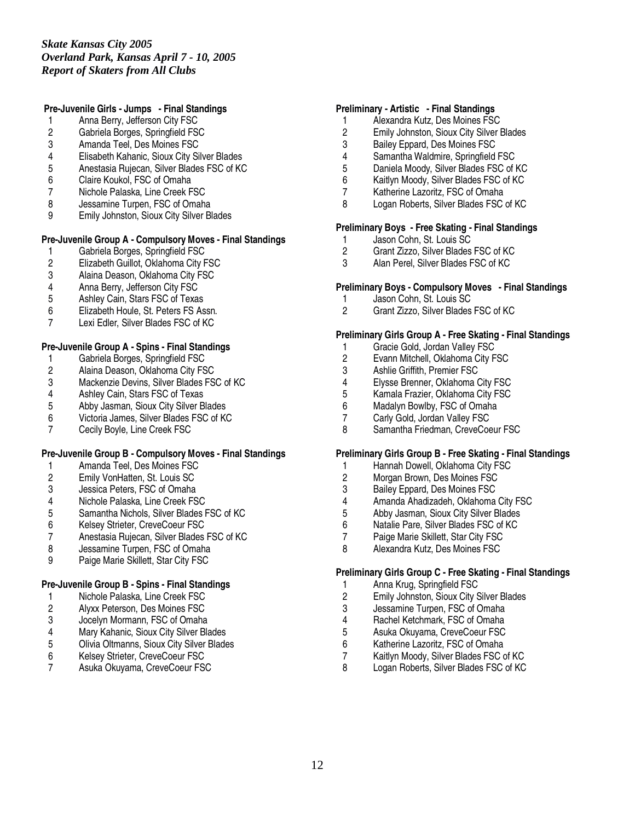## **Pre-Juvenile Girls - Jumps - Final Standings**

- 1 Anna Berry, Jefferson City FSC
- 2 Gabriela Borges, Springfield FSC<br>3 Amanda Teel. Des Moines FSC
- 3 Amanda Teel, Des Moines FSC
- 4 Elisabeth Kahanic, Sioux City Silver Blades
- 5 Anestasia Rujecan, Silver Blades FSC of KC<br>6 Claire Koukol. FSC of Omaha
- Claire Koukol, FSC of Omaha
- 7 Nichole Palaska, Line Creek FSC
- 8 Jessamine Turpen, FSC of Omaha
- 9 Emily Johnston, Sioux City Silver Blades

# **Pre-Juvenile Group A - Compulsory Moves - Final Standings**

- 1 Gabriela Borges, Springfield FSC<br>2 Elizabeth Guillot, Oklahoma City F
- 2 Elizabeth Guillot, Oklahoma City FSC<br>3 Alaina Deason, Oklahoma City FSC
- 3 Alaina Deason, Oklahoma City FSC<br>4 Anna Berry, Jefferson City FSC
- 4 Anna Berry, Jefferson City FSC<br>5 Ashley Cain, Stars FSC of Texas
- 5 Ashley Cain, Stars FSC of Texas
- 
- 6 Elizabeth Houle, St. Peters FS Assn.<br>7 Lexi Edler. Silver Blades FSC of KC Lexi Edler, Silver Blades FSC of KC

# **Pre-Juvenile Group A - Spins - Final Standings**

- 1 Gabriela Borges, Springfield FSC<br>2 Alaina Deason, Oklahoma City FS
- 2 Alaina Deason, Oklahoma City FSC<br>3 Mackenzie Devins, Silver Blades FS
- 3 Mackenzie Devins, Silver Blades FSC of KC<br>4 Ashley Cain, Stars FSC of Texas
- 4 Ashley Cain, Stars FSC of Texas<br>5 Abby Jasman, Sioux City Silver B
- 5 Abby Jasman, Sioux City Silver Blades<br>6 Victoria James. Silver Blades FSC of KO
- 6 Victoria James, Silver Blades FSC of KC
- 7 Cecily Boyle, Line Creek FSC

## **Pre-Juvenile Group B - Compulsory Moves - Final Standings**

- 1 Amanda Teel, Des Moines FSC
- 2 Emily VonHatten, St. Louis SC
- 3 Jessica Peters, FSC of Omaha
- 
- 4 Nichole Palaska, Line Creek FSC 5 Samantha Nichols, Silver Blades FSC of KC<br>6 Kelsey Strieter, CreveCoeur FSC
- 6 Kelsey Strieter, CreveCoeur FSC<br>7 Anestasia Ruiecan, Silver Blades
- 7 Anestasia Rujecan, Silver Blades FSC of KC<br>8 Jessamine Turpen. FSC of Omaha
- Jessamine Turpen, FSC of Omaha
- 9 Paige Marie Skillett, Star City FSC

# **Pre-Juvenile Group B - Spins - Final Standings**

- 1 Nichole Palaska, Line Creek FSC
- 2 Alyxx Peterson, Des Moines FSC<br>3 Jocelyn Mormann, FSC of Omaha
- 3 Jocelyn Mormann, FSC of Omaha
- 4 Mary Kahanic, Sioux City Silver Blades<br>5 Olivia Oltmanns, Sioux City Silver Blade
- 5 Olivia Oltmanns, Sioux City Silver Blades<br>6 Kelsey Strieter, CreveCoeur FSC
- Kelsey Strieter, CreveCoeur FSC
- 7 Asuka Okuyama, CreveCoeur FSC

## **Preliminary - Artistic - Final Standings**

- 1 Alexandra Kutz, Des Moines FSC
- 2 Emily Johnston, Sioux City Silver Blades<br>3 Bailev Eppard. Des Moines FSC
- Bailey Eppard, Des Moines FSC
- 4 Samantha Waldmire, Springfield FSC<br>5 Daniela Moody, Silver Blades FSC of I
- 5 Daniela Moody, Silver Blades FSC of KC
- Kaitlyn Moody, Silver Blades FSC of KC
- 7 Katherine Lazoritz, FSC of Omaha
- 8 Logan Roberts, Silver Blades FSC of KC

# **Preliminary Boys - Free Skating - Final Standings**

- 1 Jason Cohn, St. Louis SC<br>2 Grant Zizzo, Silver Blades
- 2 Grant Zizzo, Silver Blades FSC of KC<br>3 Alan Perel. Silver Blades FSC of KC
- Alan Perel, Silver Blades FSC of KC

# **Preliminary Boys - Compulsory Moves - Final Standings**

- 1 Jason Cohn, St. Louis SC<br>2 Grant Zizzo. Silver Blades
- 2 Grant Zizzo, Silver Blades FSC of KC

## **Preliminary Girls Group A - Free Skating - Final Standings**

- 1 Gracie Gold, Jordan Valley FSC<br>2 Evann Mitchell, Oklahoma City F
- 2 Evann Mitchell, Oklahoma City FSC<br>3 Ashlie Griffith. Premier FSC
- 3 Ashlie Griffith, Premier FSC<br>4 Elysse Brenner, Oklahoma (
- 4 Elysse Brenner, Oklahoma City FSC<br>5 Kamala Frazier, Oklahoma City FSC
- 5 Kamala Frazier, Oklahoma City FSC<br>6 Madalyn Bowlby, FSC of Omaha
- 6 Madalyn Bowlby, FSC of Omaha
- 7 Carly Gold, Jordan Valley FSC<br>8 Samantha Friedman, CreveCoe
- Samantha Friedman, CreveCoeur FSC

## **Preliminary Girls Group B - Free Skating - Final Standings**

- 1 Hannah Dowell, Oklahoma City FSC
- 2 Morgan Brown, Des Moines FSC
- 3 Bailey Eppard, Des Moines FSC<br>4 Amanda Ahadizadeh. Oklahoma
- 4 Amanda Ahadizadeh, Oklahoma City FSC<br>5 Abby Jasman, Sioux City Silver Blades
- 5 Abby Jasman, Sioux City Silver Blades
- 6 Natalie Pare, Silver Blades FSC of KC
- 7 Paige Marie Skillett, Star City FSC<br>8 Alexandra Kutz, Des Moines FSC
- 8 Alexandra Kutz, Des Moines FSC

## **Preliminary Girls Group C - Free Skating - Final Standings**

- 1 Anna Krug, Springfield FSC<br>2 Emily Johnston, Sioux City S
- 2 Emily Johnston, Sioux City Silver Blades
- 3 Jessamine Turpen, FSC of Omaha<br>4 Rachel Ketchmark. FSC of Omaha
- 4 Rachel Ketchmark, FSC of Omaha<br>5 Asuka Okuyama, CreveCoeur FSC
- 5 Asuka Okuyama, CreveCoeur FSC
- 6 Katherine Lazoritz, FSC of Omaha
- Kaitlyn Moody, Silver Blades FSC of KC
- 8 Logan Roberts, Silver Blades FSC of KC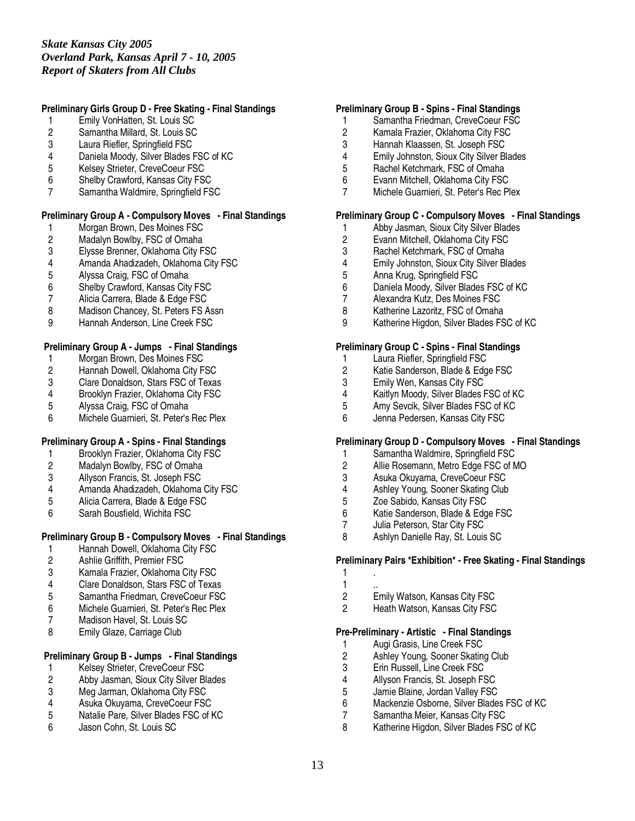## **Preliminary Girls Group D - Free Skating - Final Standings**

- 1 Emily VonHatten, St. Louis SC
- 2 Samantha Millard, St. Louis SC<br>3 Laura Riefler. Springfield FSC
- Laura Riefler, Springfield FSC
- 4 Daniela Moody, Silver Blades FSC of KC
- 5 Kelsey Strieter, CreveCoeur FSC<br>6 Shelby Crawford, Kansas City FS
- Shelby Crawford, Kansas City FSC
- 7 Samantha Waldmire, Springfield FSC

#### **Preliminary Group A - Compulsory Moves - Final Standings**

- 1 Morgan Brown, Des Moines FSC<br>2 Madalyn Bowlby, FSC of Omaha
- 2 Madalyn Bowlby, FSC of Omaha<br>3 Elysse Brenner, Oklahoma City F
- 3 Elysse Brenner, Oklahoma City FSC
- 4 Amanda Ahadizadeh, Oklahoma City FSC<br>5 Alvssa Craig. FSC of Omaha
- 5 Alyssa Craig, FSC of Omaha
- 6 Shelby Crawford, Kansas City FSC
- 7 Alicia Carrera, Blade & Edge FSC
- 8 Madison Chancey, St. Peters FS Assn
- 9 Hannah Anderson, Line Creek FSC

## **Preliminary Group A - Jumps - Final Standings**

- 1 Morgan Brown, Des Moines FSC<br>2 Hannah Dowell, Oklahoma City F
- 2 Hannah Dowell, Oklahoma City FSC<br>3 Clare Donaldson, Stars FSC of Texas
- 3 Clare Donaldson, Stars FSC of Texas<br>4 Brooklyn Frazier, Oklahoma City FSC
- Brooklyn Frazier, Oklahoma City FSC
- 5 Alyssa Craig, FSC of Omaha<br>6 Michele Guarnieri. St. Peter's
- Michele Guarnieri, St. Peter's Rec Plex

## **Preliminary Group A - Spins - Final Standings**

- 1 Brooklyn Frazier, Oklahoma City FSC<br>2 Madalyn Bowlby, FSC of Omaha
- Madalyn Bowlby, FSC of Omaha
- 3 Allyson Francis, St. Joseph FSC
- 
- 4 Amanda Ahadizadeh, Oklahoma City FSC<br>5 Alicia Carrera. Blade & Edge FSC
- 5 Alicia Carrera, Blade & Edge FSC<br>6 Sarah Bousfield, Wichita FSC Sarah Bousfield, Wichita FSC

## **Preliminary Group B - Compulsory Moves - Final Standings**

- 1 Hannah Dowell, Oklahoma City FSC<br>2 Ashlie Griffith. Premier FSC
- 2 Ashlie Griffith, Premier FSC
- 3 Kamala Frazier, Oklahoma City FSC
- 4 Clare Donaldson, Stars FSC of Texas<br>5 Samantha Friedman, CreveCoeur FSC
- 5 Samantha Friedman, CreveCoeur FSC
- 6 Michele Guarnieri, St. Peter's Rec Plex
- Madison Havel, St. Louis SC
- 8 Emily Glaze, Carriage Club

# **Preliminary Group B - Jumps - Final Standings**

- 1 Kelsey Strieter, CreveCoeur FSC<br>2 Abby Jasman, Sioux City Silver Bl
- 2 Abby Jasman, Sioux City Silver Blades<br>3 Meg Jarman, Oklahoma City FSC
- 3 Meg Jarman, Oklahoma City FSC<br>4 Asuka Okuvama. CreveCoeur FSC
- 4 Asuka Okuyama, CreveCoeur FSC
- 5 Natalie Pare, Silver Blades FSC of KC
- 6 Jason Cohn, St. Louis SC

## **Preliminary Group B - Spins - Final Standings**

- 1 Samantha Friedman, CreveCoeur FSC
- 2 Kamala Frazier, Oklahoma City FSC<br>3 Hannah Klaassen. St. Joseph FSC
- Hannah Klaassen, St. Joseph FSC
- 4 Emily Johnston, Sioux City Silver Blades<br>5 Rachel Ketchmark. FSC of Omaha
- 5 Rachel Ketchmark, FSC of Omaha<br>6 Evann Mitchell, Oklahoma City FSC
- 6 Evann Mitchell, Oklahoma City FSC
- 7 Michele Guarnieri, St. Peter's Rec Plex

#### **Preliminary Group C - Compulsory Moves - Final Standings**

- 1 Abby Jasman, Sioux City Silver Blades<br>2 Evann Mitchell, Oklahoma City FSC
- 2 Evann Mitchell, Oklahoma City FSC<br>3 Rachel Ketchmark, FSC of Omaha
- 3 Rachel Ketchmark, FSC of Omaha<br>4 Emily Johnston, Sioux City Silver Bl
- 4 Emily Johnston, Sioux City Silver Blades<br>5 Anna Krug, Springfield FSC
- 5 Anna Krug, Springfield FSC
- 6 Daniela Moody, Silver Blades FSC of KC
- 7 Alexandra Kutz, Des Moines FSC
- 8 Katherine Lazoritz, FSC of Omaha
- 9 Katherine Higdon, Silver Blades FSC of KC

## **Preliminary Group C - Spins - Final Standings**

- 1 Laura Riefler, Springfield FSC<br>2 Katie Sanderson, Blade & Edg
- 2 Katie Sanderson, Blade & Edge FSC<br>3 Emily Wen, Kansas City FSC
- 3 Emily Wen, Kansas City FSC<br>4 Kaitlyn Moody, Silver Blades I
- Kaitlyn Moody, Silver Blades FSC of KC
- 5 Amy Sevcik, Silver Blades FSC of KC<br>6 Jenna Pedersen. Kansas City FSC
- Jenna Pedersen, Kansas City FSC

## **Preliminary Group D - Compulsory Moves - Final Standings**

- 1 Samantha Waldmire, Springfield FSC
- 2 Allie Rosemann, Metro Edge FSC of MO
- 3 Asuka Okuyama, CreveCoeur FSC
- 4 Ashley Young, Sooner Skating Club<br>5 Zoe Sabido. Kansas City FSC
- 5 Zoe Sabido, Kansas City FSC<br>6 Katie Sanderson, Blade & Edg
- 6 Katie Sanderson, Blade & Edge FSC<br>7 Julia Peterson. Star City FSC
- 7 Julia Peterson, Star City FSC<br>8 Ashlyn Danielle Rav. St. Louis
- Ashlyn Danielle Ray, St. Louis SC

# **Preliminary Pairs \*Exhibition\* - Free Skating - Final Standings**

- 1 .
- $\frac{1}{2}$
- Emily Watson, Kansas City FSC
- 2 Heath Watson, Kansas City FSC

#### **Pre-Preliminary - Artistic - Final Standings**

- 1 Augi Grasis, Line Creek FSC<br>2 Ashley Young, Sooner Skating
- 2 Ashley Young, Sooner Skating Club<br>3 Erin Russell, Line Creek FSC
- 3 Erin Russell, Line Creek FSC<br>4 Allyson Francis. St. Joseph FS
- 4 Allyson Francis, St. Joseph FSC<br>5 Jamie Blaine. Jordan Vallev FSC
- 5 Jamie Blaine, Jordan Valley FSC<br>6 Mackenzie Osborne, Silver Blade
- Mackenzie Osborne, Silver Blades FSC of KC
- 7 Samantha Meier, Kansas City FSC<br>8 Katherine Higdon, Silver Blades FS
- Katherine Higdon, Silver Blades FSC of KC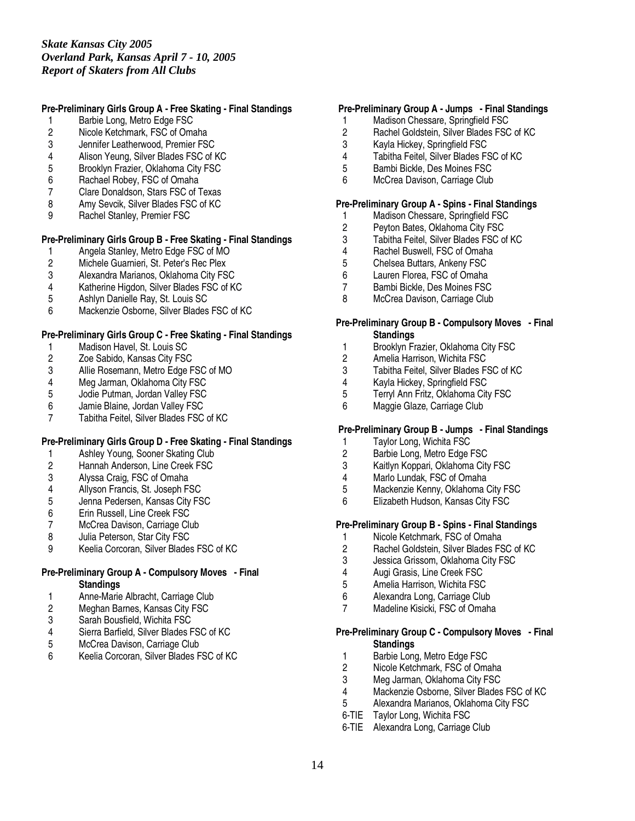# **Pre-Preliminary Girls Group A - Free Skating - Final Standings**

- 1 Barbie Long, Metro Edge FSC
- 2 Nicole Ketchmark, FSC of Omaha<br>3 Jennifer Leatherwood. Premier FSC
- 3 Jennifer Leatherwood, Premier FSC
- 4 Alison Yeung, Silver Blades FSC of KC
- 5 Brooklyn Frazier, Oklahoma City FSC<br>6 Rachael Robev. FSC of Omaha
- Rachael Robey, FSC of Omaha
- 7 Clare Donaldson, Stars FSC of Texas
- 8 Amy Sevcik, Silver Blades FSC of KC
- 9 Rachel Stanley, Premier FSC

# **Pre-Preliminary Girls Group B - Free Skating - Final Standings**

- 1 Angela Stanley, Metro Edge FSC of MO<br>2 Michele Guarnieri, St. Peter's Rec Plex
- 2 Michele Guarnieri, St. Peter's Rec Plex<br>3 Alexandra Marianos, Oklahoma City FS
- 3 Alexandra Marianos, Oklahoma City FSC
- 4 Katherine Higdon, Silver Blades FSC of KC
- 5 Ashlyn Danielle Ray, St. Louis SC
- 6 Mackenzie Osborne, Silver Blades FSC of KC

#### **Pre-Preliminary Girls Group C - Free Skating - Final Standings**

- 1 Madison Havel, St. Louis SC<br>2 Zoe Sabido, Kansas City FSC
- 2 Zoe Sabido, Kansas City FSC<br>3 Allie Rosemann, Metro Edge F
- 3 Allie Rosemann, Metro Edge FSC of MO<br>4 Meg Jarman, Oklahoma City FSC
- 4 Meg Jarman, Oklahoma City FSC<br>5 Jodie Putman, Jordan Valley FSC
- 5 Jodie Putman, Jordan Valley FSC
- 6 Jamie Blaine, Jordan Valley FSC
- 7 Tabitha Feitel, Silver Blades FSC of KC

## **Pre-Preliminary Girls Group D - Free Skating - Final Standings**

- 
- 1 Ashley Young, Sooner Skating Club<br>2 Hannah Anderson, Line Creek FSC 2 Hannah Anderson, Line Creek FSC<br>3 Alyssa Craig, FSC of Omaha
- 3 Alyssa Craig, FSC of Omaha
- 4 Allyson Francis, St. Joseph FSC<br>5 Jenna Pedersen, Kansas City FS
- 5 Jenna Pedersen, Kansas City FSC<br>6 Erin Russell, Line Creek FSC
- 6 Erin Russell, Line Creek FSC<br>7 McCrea Davison, Carriage Clu
- 7 McCrea Davison, Carriage Club<br>8 Julia Peterson, Star City FSC
- 8 Julia Peterson, Star City FSC<br>9 Keelia Corcoran, Silver Blades
- 9 Keelia Corcoran, Silver Blades FSC of KC

# **Pre-Preliminary Group A - Compulsory Moves - Final Standings**

- 1 Anne-Marie Albracht, Carriage Club
- 2 Meghan Barnes, Kansas City FSC<br>3 Sarah Bousfield. Wichita FSC
- 3 Sarah Bousfield, Wichita FSC
- 4 Sierra Barfield, Silver Blades FSC of KC
- 5 McCrea Davison, Carriage Club<br>6 Keelia Corcoran, Silver Blades F
- 6 Keelia Corcoran, Silver Blades FSC of KC

## **Pre-Preliminary Group A - Jumps - Final Standings**

- 1 Madison Chessare, Springfield FSC
- 2 Rachel Goldstein, Silver Blades FSC of KC<br>3 Kavla Hickev. Springfield FSC
- 3 Kayla Hickey, Springfield FSC
- 4 Tabitha Feitel, Silver Blades FSC of KC
- 5 Bambi Bickle, Des Moines FSC<br>6 McCrea Davison, Carriage Club
- McCrea Davison, Carriage Club

#### **Pre-Preliminary Group A - Spins - Final Standings**

- 1 Madison Chessare, Springfield FSC<br>2 Peyton Bates, Oklahoma City FSC
- 2 Peyton Bates, Oklahoma City FSC<br>3 Tabitha Feitel, Silver Blades FSC of
- Tabitha Feitel, Silver Blades FSC of KC
- 4 Rachel Buswell, FSC of Omaha<br>5 Chelsea Buttars. Ankeny FSC
- 5 Chelsea Buttars, Ankeny FSC<br>6 Lauren Florea. FSC of Omaha
- Lauren Florea, FSC of Omaha
- 7 Bambi Bickle, Des Moines FSC<br>8 McCrea Davison, Carriage Club
- McCrea Davison, Carriage Club

#### **Pre-Preliminary Group B - Compulsory Moves - Final Standings**

- 1 Brooklyn Frazier, Oklahoma City FSC
- 2 Amelia Harrison, Wichita FSC<br>3 Tabitha Feitel. Silver Blades F
- 3 Tabitha Feitel, Silver Blades FSC of KC<br>4 Kavla Hickev. Springfield FSC
- 4 Kayla Hickey, Springfield FSC<br>5 Terryl Ann Fritz, Oklahoma City
- 5 Terryl Ann Fritz, Oklahoma City FSC
- 6 Maggie Glaze, Carriage Club

#### **Pre-Preliminary Group B - Jumps - Final Standings**

- 1 Taylor Long, Wichita FSC<br>2 Barbie Long, Metro Edge I
- Barbie Long, Metro Edge FSC
- 3 Kaitlyn Koppari, Oklahoma City FSC
- 4 Marlo Lundak, FSC of Omaha
- 5 Mackenzie Kenny, Oklahoma City FSC<br>6 Elizabeth Hudson, Kansas City FSC
- 6 Elizabeth Hudson, Kansas City FSC

## **Pre-Preliminary Group B - Spins - Final Standings**

- 1 Nicole Ketchmark, FSC of Omaha<br>2 Rachel Goldstein, Silver Blades FS
- 2 Rachel Goldstein, Silver Blades FSC of KC
- 3 Jessica Grissom, Oklahoma City FSC
- 
- 4 Augi Grasis, Line Creek FSC<br>5 Amelia Harrison, Wichita FSC 5 Amelia Harrison, Wichita FSC
- 6 Alexandra Long, Carriage Club
- 7 Madeline Kisicki, FSC of Omaha

#### **Pre-Preliminary Group C - Compulsory Moves - Final Standings**

- 1 Barbie Long, Metro Edge FSC<br>2 Nicole Ketchmark, FSC of Oma
- Nicole Ketchmark, FSC of Omaha
- 3 Meg Jarman, Oklahoma City FSC<br>4 Mackenzie Osborne, Silver Blades
- 4 Mackenzie Osborne, Silver Blades FSC of KC<br>5 Alexandra Marianos. Oklahoma City FSC
- 5 Alexandra Marianos, Oklahoma City FSC
- 6-TIE Taylor Long, Wichita FSC
- 6-TIE Alexandra Long, Carriage Club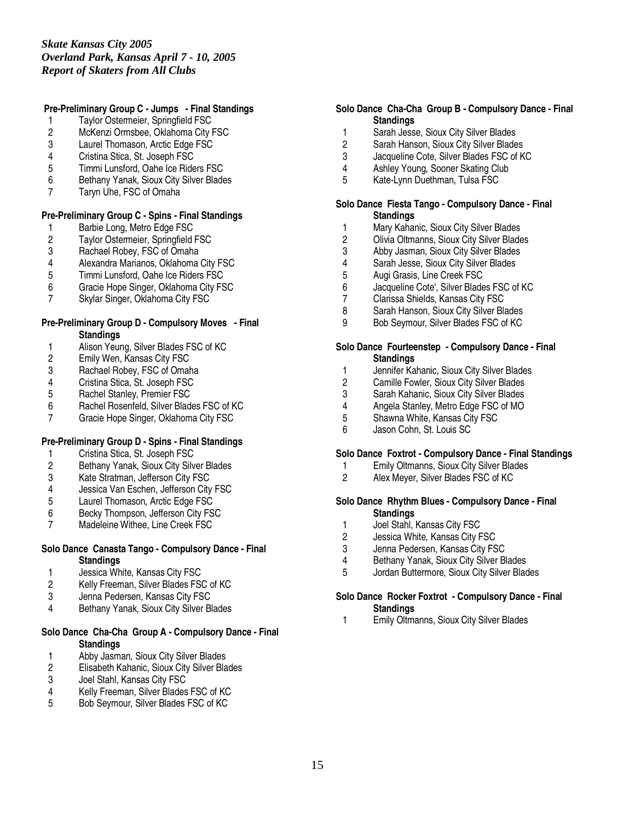# **Pre-Preliminary Group C - Jumps - Final Standings**

- 1 Taylor Ostermeier, Springfield FSC
- 2 McKenzi Ormsbee, Oklahoma City FSC<br>3 Laurel Thomason. Arctic Edge FSC
- Laurel Thomason, Arctic Edge FSC
- 4 Cristina Stica, St. Joseph FSC
- 5 Timmi Lunsford, Oahe Ice Riders FSC<br>6 Bethany Yanak, Sioux City Silver Blade
- 6 Bethany Yanak, Sioux City Silver Blades
- 7 Taryn Uhe, FSC of Omaha

# **Pre-Preliminary Group C - Spins - Final Standings**

- 
- 1 Barbie Long, Metro Edge FSC<br>2 Taylor Ostermeier, Springfield 2 Taylor Ostermeier, Springfield FSC<br>3 Rachael Robey, FSC of Omaha
- 3 Rachael Robey, FSC of Omaha<br>4 Alexandra Marianos. Oklahoma
- 4 Alexandra Marianos, Oklahoma City FSC<br>5 Timmi Lunsford. Oahe Ice Riders FSC
- 5 Timmi Lunsford, Oahe Ice Riders FSC
- 6 Gracie Hope Singer, Oklahoma City FSC<br>7 Skylar Singer, Oklahoma City FSC
- Skylar Singer, Oklahoma City FSC

#### **Pre-Preliminary Group D - Compulsory Moves - Final Standings**

- 1 Alison Yeung, Silver Blades FSC of KC<br>2 Emily Wen, Kansas City FSC
- 2 Emily Wen, Kansas City FSC<br>3 Rachael Robey, FSC of Omal
- 3 Rachael Robey, FSC of Omaha<br>4 Cristina Stica, St. Joseph FSC
- 4 Cristina Stica, St. Joseph FSC<br>5 Rachel Stanley, Premier FSC
- 5 Rachel Stanley, Premier FSC
- 6 Rachel Rosenfeld, Silver Blades FSC of KC
- 7 Gracie Hope Singer, Oklahoma City FSC

# **Pre-Preliminary Group D - Spins - Final Standings**

- 1 Cristina Stica, St. Joseph FSC<br>2 Bethany Yanak, Sioux City Silv
- 2 Bethany Yanak, Sioux City Silver Blades
- 3 Kate Stratman, Jefferson City FSC<br>4 Jessica Van Eschen, Jefferson City
- 4 Jessica Van Eschen, Jefferson City FSC<br>5 Laurel Thomason, Arctic Edge FSC
- 5 Laurel Thomason, Arctic Edge FSC<br>6 Becky Thompson, Jefferson City FS
- 6 Becky Thompson, Jefferson City FSC<br>7 Madeleine Withee. Line Creek FSC
- Madeleine Withee, Line Creek FSC

## **Solo Dance Canasta Tango - Compulsory Dance - Final Standings**

- 1 Jessica White, Kansas City FSC<br>2 Kelly Freeman, Silver Blades FS
- 2 Kelly Freeman, Silver Blades FSC of KC<br>3 Jenna Pedersen, Kansas City FSC
- Jenna Pedersen, Kansas City FSC
- 4 Bethany Yanak, Sioux City Silver Blades

# **Solo Dance Cha-Cha Group A - Compulsory Dance - Final Standings**

- 1 Abby Jasman, Sioux City Silver Blades<br>2 Elisabeth Kahanic, Sioux City Silver Bla
- 2 Elisabeth Kahanic, Sioux City Silver Blades<br>3 Joel Stahl, Kansas City FSC
- 3 Joel Stahl, Kansas City FSC<br>4 Kelly Freeman. Silver Blades
- 4 Kelly Freeman, Silver Blades FSC of KC
- 5 Bob Seymour, Silver Blades FSC of KC

## **Solo Dance Cha-Cha Group B - Compulsory Dance - Final Standings**

- 1 Sarah Jesse, Sioux City Silver Blades<br>2 Sarah Hanson, Sioux City Silver Blade
- Sarah Hanson, Sioux City Silver Blades
- 3 Jacqueline Cote, Silver Blades FSC of KC
- 4 Ashley Young, Sooner Skating Club<br>5 Kate-Lynn Duethman, Tulsa FSC
- 5 Kate-Lynn Duethman, Tulsa FSC

#### **Solo Dance Fiesta Tango - Compulsory Dance - Final Standings**

- 1 Mary Kahanic, Sioux City Silver Blades<br>2 Olivia Oltmanns, Sioux City Silver Blade
- 2 Olivia Oltmanns, Sioux City Silver Blades<br>3 Abby Jasman, Sioux City Silver Blades
- 3 Abby Jasman, Sioux City Silver Blades
- 4 Sarah Jesse, Sioux City Silver Blades<br>5 Augi Grasis. Line Creek FSC
- 5 Augi Grasis, Line Creek FSC
- 6 Jacqueline Cote', Silver Blades FSC of KC
- 7 Clarissa Shields, Kansas City FSC<br>8 Sarah Hanson, Sioux City Silver Bla
- 8 Sarah Hanson, Sioux City Silver Blades
- 9 Bob Seymour, Silver Blades FSC of KC

## **Solo Dance Fourteenstep - Compulsory Dance - Final Standings**

- 1 Jennifer Kahanic, Sioux City Silver Blades<br>2 Camille Fowler, Sioux City Silver Blades
- 2 Camille Fowler, Sioux City Silver Blades<br>3 Sarah Kahanic, Sioux City Silver Blades
- 3 Sarah Kahanic, Sioux City Silver Blades
- 4 Angela Stanley, Metro Edge FSC of MO<br>5 Shawna White. Kansas City FSC
- 5 Shawna White, Kansas City FSC<br>6 Jason Cohn. St. Louis SC
- Jason Cohn, St. Louis SC

## **Solo Dance Foxtrot - Compulsory Dance - Final Standings**

- 1 Emily Oltmanns, Sioux City Silver Blades
- 2 Alex Meyer, Silver Blades FSC of KC

#### **Solo Dance Rhythm Blues - Compulsory Dance - Final Standings**

- 1 Joel Stahl, Kansas City FSC<br>2 Jessica White. Kansas City F
- 2 Jessica White, Kansas City FSC
- 3 Jenna Pedersen, Kansas City FSC
- 4 Bethany Yanak, Sioux City Silver Blades
- 5 Jordan Buttermore, Sioux City Silver Blades

## **Solo Dance Rocker Foxtrot - Compulsory Dance - Final Standings**

1 Emily Oltmanns, Sioux City Silver Blades